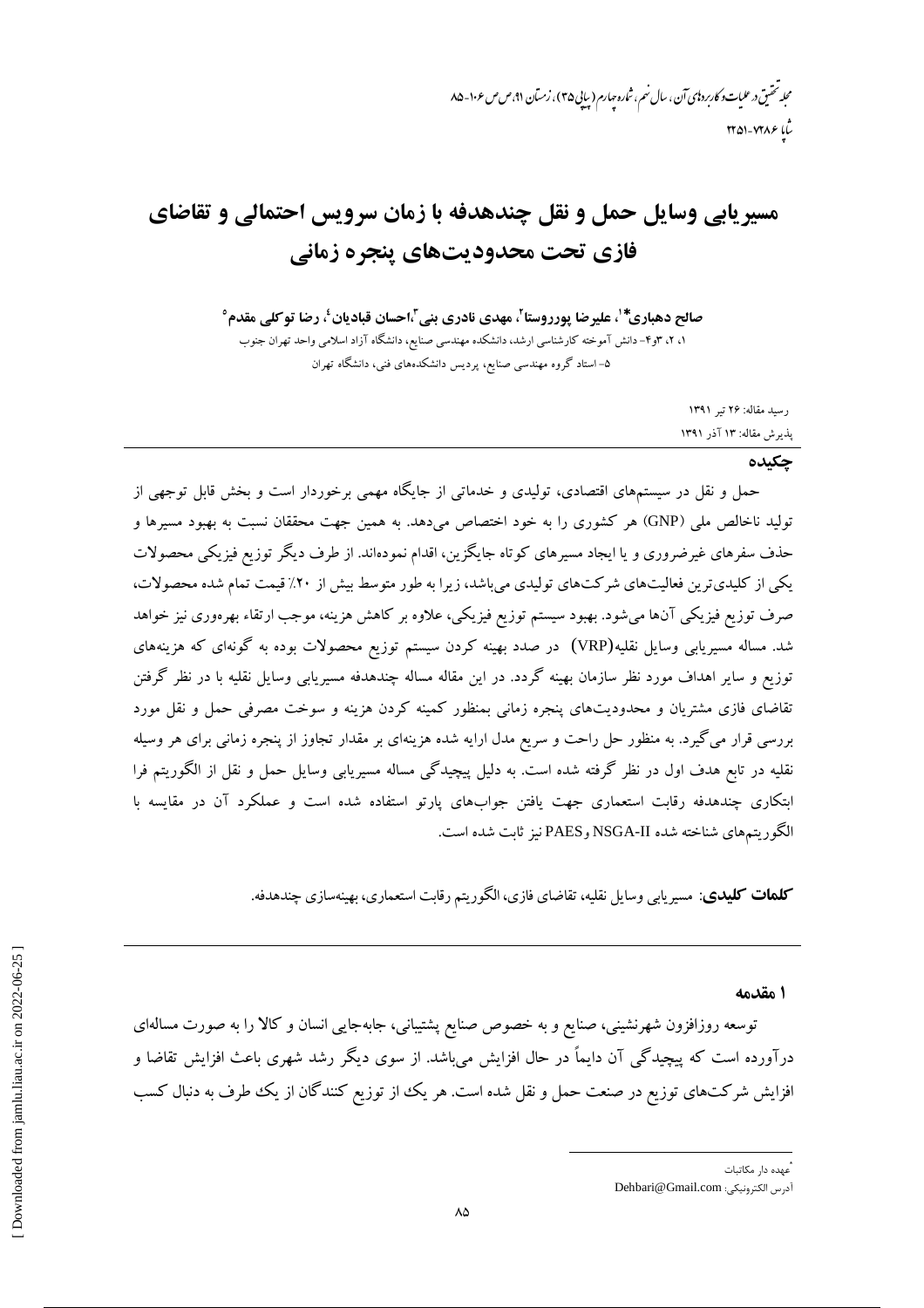# مسیریابی وسایل حمل و نقل چندهدفه با زمان سرویس احتمالی و تقاضای فازي تحت محدوديتهاي ينجره زماني

صالح دهباري\*'، عليرضا يورروستا<sup>٬</sup>، مهدي نادري بني ً،احسان قباديان'، رضا توكلي مقدم° ۰۲ ، ۳و۴– دانش آموخته کارشناسی ارشد، دانشکده مهندسی صنایع، دانشگاه آزاد اسلامی واحد تهران جنوب ۵– استاد گروه مهندسی صنایع، پردیس دانشکدههای فنی، دانشگاه تهران

> رسيد مقاله: ٢۶ تير ١٣٩١ پذیرش مقاله: ۱۳ آذر ۱۳۹۱

#### حكىدە

حمل و نقل در سیستمهای اقتصادی، تولیدی و خدماتی از جایگاه مهمی برخوردار است و بخش قابل توجهی از تولید ناخالص ملی (GNP) هر کشوری را به خود اختصاص میدهد. به همین جهت محققان نسبت به بهبود مسیرها و حذف سفرهای غیرضروری و یا ایجاد مسیرهای کوتاه جایگزین، اقدام نمودهاند. از طرف دیگر توزیع فیزیکی محصولات یکی از کلیدیترین فعالیتهای شرکتهای تولیدی میباشد، زیرا به طور متوسط بیش از ۲۰٪ قیمت تمام شده محصولات، صرف توزیع فیزیکی آنها میشود. بهبود سیستم توزیع فیزیکی، علاوه بر کاهش هزینه، موجب ارتقاء بهرهوری نیز خواهد شد. مساله مسیریابی وسایل نقلیه(VRP) در صدد بهینه کردن سیستم توزیع محصولات بوده به گونهای که هزینههای توزیع و سایر اهداف مورد نظر سازمان بهینه گردد. در این مقاله مساله چندهدفه مسیریابی وسایل نقلیه با در نظر گرفتن تقاضای فازی مشتریان و محدودیتهای پنجره زمانی بمنظور کمینه کردن هزینه و سوخت مصرفی حمل و نقل مورد بررسی قرار می گیرد. به منظور حل راحت و سریع مدل ارایه شده هزینهای بر مقدار تجاوز از پنجره زمانی برای هر وسیله نقلیه در تابع هدف اول در نظر گرفته شده است. به دلیل پیچیدگی مساله مسیریابی وسایل حمل و نقل از الگوریتم فرا ابتکاری چندهدفه رقابت استعماری جهت یافتن جوابهای پارتو استفاده شده است و عملکرد آن در مقایسه با الگوريتمهاي شناخته شده NSGA-II وPAES نيز ثابت شده است.

**کلمات کلیدی**: مسیریابی وسایل نقلیه، تقاضای فازی، الگوریتم رقابت استعماری، بهینهسازی چندهدفه.

ا مقدمه

توسعه روزافزون شهرنشینی، صنایع و به خصوص صنایع پشتیبانی، جابهجایی انسان و کالا را به صورت مسالهای درآورده است که پیچیدگی آن دایماً در حال افزایش میباشد. از سوی دیگر رشد شهری باعث افزایش تقاضا و افزایش شرکتهای توزیع در صنعت حمل و نقل شده است. هر یک از توزیع کنندگان از یک طرف به دنبال کسب

<sup>.&</sup>lt;br>عهده دا, مکاتیات

آدرس الكترونيكي: Dehbari@Gmail.com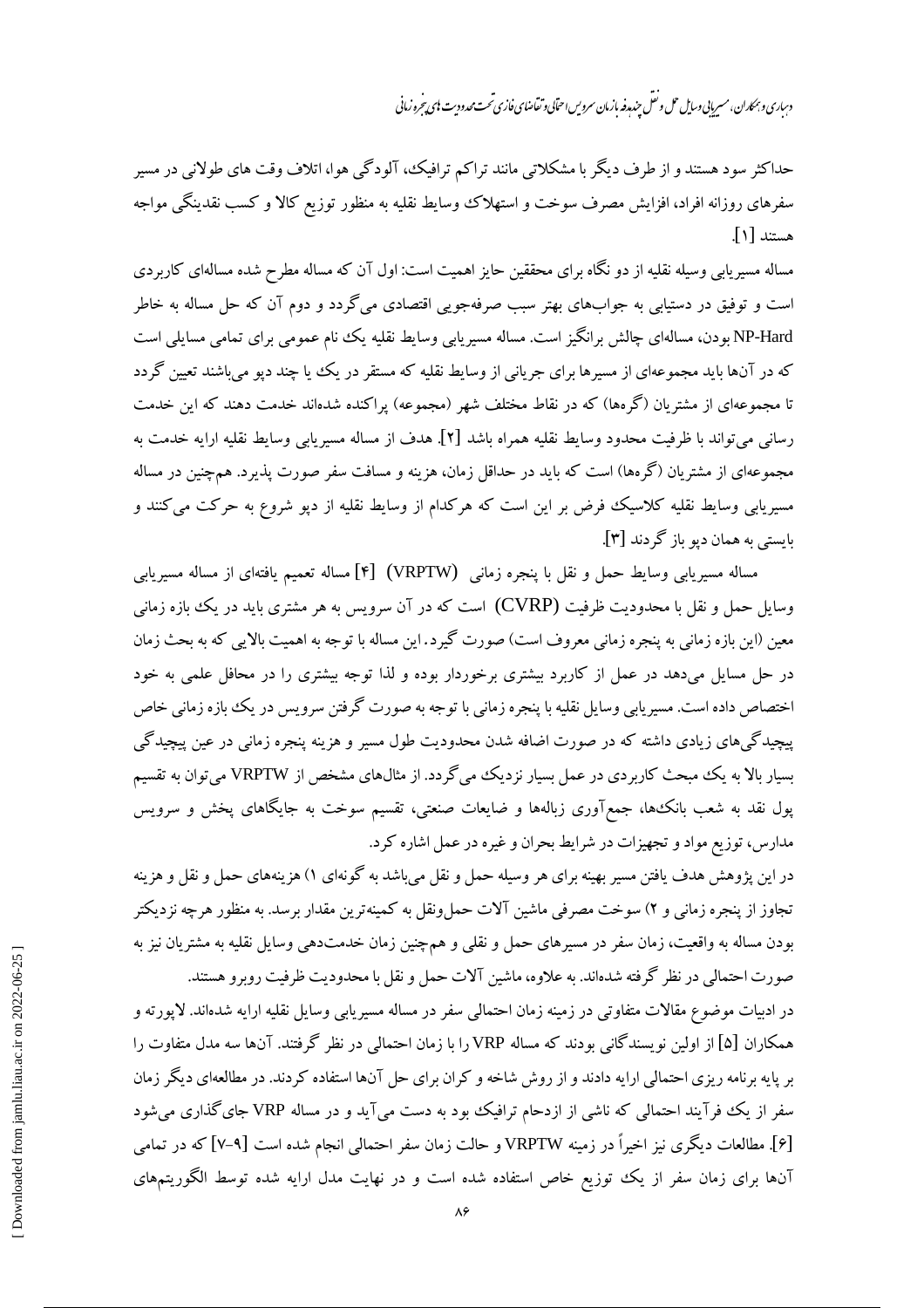دساری و بهمکاران، مسربانی *وسا*یل حمل و نقل حندرو نمازمان سروس احتابی و تقاضای فازی تحت محدود<sup>ی</sup>ت با محد شروزمانی

حداکثر سود هستند و از طرف دیگر با مشکلاتی مانند تراکم ترافیک، آلودگی هوا، اتلاف وقت های طولانی در مسیر سفرهای روزانه افراد، افزایش مصرف سوخت و استهلاک وسایط نقلیه به منظور توزیع کالا و کسب نقدینگی مواجه هستند [۱].

مساله مسیریابی وسیله نقلیه از دو نگاه برای محققین حایز اهمیت است: اول آن که مساله مطرح شده مسالهای کاربردی است و توفیق در دستیابی به جوابهای بهتر سبب صرفهجویی اقتصادی میگردد و دوم آن که حل مساله به خاطر NP-Hard بودن، مسالهای چالش برانگیز است. مساله مسیریابی وسایط نقلیه یک ننام عمومی برای تمامی مسایلی است که در آنها باید مجموعهای از مسیرها برای جریانی از وسایط نقلیه که مستقر در یک یا چند دیو می باشند تعیین گردد تا مجموعهای از مشتریان (گرمها) که در نقاط مختلف شهر (مجموعه) پراکنده شدهاند خدمت دهند که این خدمت رساني مي تواند با ظرفيت محدود وسايط نقليه همراه باشد [٢]. هدف از مساله مسيريابي وسايط نقليه ارايه خدمت به مجموعهای از مشتریان (گرهها) است که باید در حداقل زمان، هزینه و مسافت سفر صورت پذیرد. همچنین در مساله مسیریابی وسایط نقلیه کلاسیک فرض بر این است که هرکدام از وسایط نقلیه از دپو شروع به حرکت میکنند و بايستي به همان ديو باز گردند [۳].

مساله مسیریابی وسایط حمل و نقل با پنجره زمانبی (VRPTW) [۴] مساله تعمیم یافتهای از مساله مسیریابی وسایل حمل و نقل با محدودیت ظرفیت (CVRP) است که در آن سرویس به هر مشتری باید در یک ببازه زمانی معین (این بازه زمانی به پنجره زمانی معروف است) صورت گیرد. این مساله با توجه به اهمیت بالایی که به بحث زمان در حل مسایل میدهد در عمل از کاربرد بیشتری برخوردار بوده و لذا توجه بیشتری را در محافل علمی به خود اختصاص داده است. مسیریابی وسایل نقلیه با پنجره زمانی با توجه به صورت گرفتن سرویس در یک بازه زمانی خاص پیچیدگی های زیادی داشته که در صورت اضافه شدن محدودیت طول مسیر و هزینه پنجره زمانی در عین پیچیدگی بسیار بالا به یک مبحث کاربردی در عمل بسیار نزدیک میگردد. از مثالهای مشخص از VRPTW می توان به تقسیم یول نقد به شعب بانک\$ها، جمعآوری زبالهها و ضایعات صنعتی، تقسیم سوخت به جایگاهای پخش و سرویس مدارس، توزیع مواد و تجهیزات در شرایط بحران و غیره در عمل اشاره کرد.

در این پژوهش هدف یافتن مسیر بهینه برای هر وسیله حمل و نقل میباشد به گونهای ۱) هزینههای حمل و نقل و هزینه تجاوز از پنجره زمانی و ۲) سوخت مصرفی ماشین آلات حمل ونقل به کمینهترین مقدار برسد. به منظور هرچه نزدیکتر بودن مساله به واقعیت، زمان سفر در مسیرهای حمل و نقلبی و همچنین زمان خدمتدهی وسایل نقلیه به مشتریان نیز به صورت احتمالی در نظر گرفته شدهاند. به علاوه، ماشین آلات حمل و نقل با محدودیت ظرفیت روبرو هستند.

در ادبیات موضوع مقالات متفاوتی در زمینه زمان احتمالی سفر در مساله مسیریابی وسایل نقلیه ارایه شدهاند. لایورته و همکاران [۵] از اولین نویسندگانی بودند که مساله VRP را با زمان احتمالی در نظر گرفتند. آنها سه مدل متفاوت را بر پایه برنامه ریزی احتمالی ارایه دادند و از روش شاخه و کران برای حل آنها استفاده کردند. در مطالعهای دیگر زمان سفر از یک فرآیند احتمالی که ناشی از ازدحام ترافیک بود به دست میآید و در مساله VRP جای گذاری می شود [۶]. مطالعات دیگری نیز اخیراً در زمینه VRPTW و حالت زمان سفر احتمالی انجام شده است [۹–۷] که در تمامی آنها برای زمان سفر از یک توزیع خاص استفاده شده است و در نهایت مدل ارایه شده توسط الگوریتمهای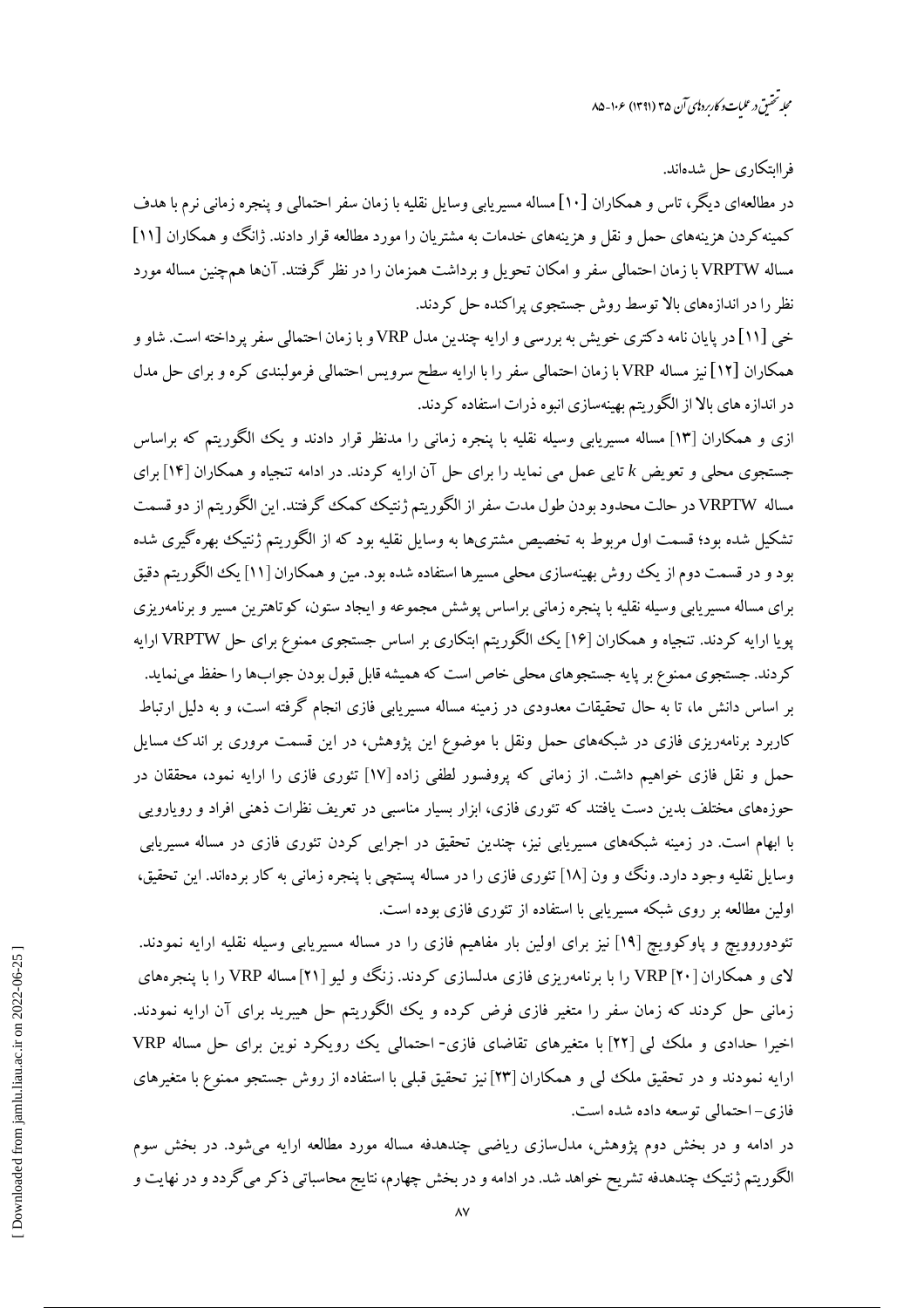محله تحقىق درعلىات وكارىردىي آن ۳۵ (۱۳۹۱) ۱۰۶–۸۵

فراایتکاری جل شدهاند.

در مطالعهای دیگر، تاس و همکاران [۱۰] مساله مسیریابی وسایل نقلیه با زمان سفر احتمالی و پنجره زمانی نرم با هدف کمینه کردن هزینههای حمل و نقل و هزینههای خدمات به مشتریان را مورد مطالعه قرار دادند. ژانگ و همکاران [۱۱] مساله VRPTW با زمان احتمالی سفر و امکان تحویل و برداشت همزمان را در نظر گرفتند. آنها همچنین مساله مورد نظر را در اندازههای بالا توسط روش جستجوی پراکنده حل کردند.

خی [۱۱] در پایان نامه دکتری خویش به بررسی و ارایه چندین مدل VRP و با زمان احتمالی سفر پرداخته است. شاو و همکاران [۱۲] نیز مساله VRP با زمان احتمالی سفر را با ارایه سطح سرویس احتمالی فرمولبندی کره و برای حل مدل در اندازه های بالا از الگوریتم بهینهسازی انبوه ذرات استفاده کردند.

ازی و همکاران [۱۳] مساله مسیریابی وسیله نقلیه با پنجره زمانی را مدنظر قرار دادند و یک الگوریتم که براساس جستجوی محلی و تعویض k تایی عمل می نماید را برای حل آن ارایه کردند. در ادامه تنجیاه و همکاران [۱۴] برای مساله VRPTW در حالت محدود بودن طول مدت سفر از الگوریتم ژنتیک کمک گرفتند. این الگوریتم از دو قسمت تشکیل شده بود؛ قسمت اول مربوط به تخصیص مشتریها به وسایل نقلیه بود که از الگوریتم ژنتیک بهرهگیری شده بود و در قسمت دوم از یک روش بهینهسازی محلی مسیرها استفاده شده بود. مین و همکاران [۱۱] یک الگوریتم دقیق برای مساله مسیریابی وسیله نقلیه با پنجره زمانی براساس پوشش مجموعه و ایجاد ستون، کوتاهترین مسیر و برنامهریزی پویا ارایه کردند. تنجیاه و همکاران [۱۶] یک الگوریتم ابتکاری بر اساس جستجوی ممنوع برای حل VRPTW ارایه کردند. جستجوی ممنوع بر پایه جستجوهای محلی خاص است که همیشه قابل قبول بودن جوابها را حفظ می نماید. بر اساس دانش ما، تا به حال تحقیقات معدودی در زمینه مساله مسیریابی فازی انجام گرفته است، و به دلیل ارتباط کاربرد برنامهریزی فازی در شبکههای حمل ونقل با موضوع این پژوهش، در این قسمت مروری بر اندک مسایل حمل و نقل فازی خواهیم داشت. از زمانی که پروفسور لطفی زاده [۱۷] تئوری فازی را ارایه نمود، محققان در حوزههای مختلف بدین دست یافتند که تئوری فازی، ابزار بسیار مناسبی در تعریف نظرات ذهنی افراد و رویارویی با ابهام است. در زمینه شبکههای مسیریابی نیز، چندین تحقیق در اجرایی کردن تئوری فازی در مساله مسیریابی وسایل نقلیه وجود دارد. ونگ وو ن [۱۸] تئوری فازی را در مساله پستچی با پنجره زمانی به کار بردهاند. این تحقیق، اولین مطالعه بر روی شبکه مسیریابی با استفاده از تئوری فازی بوده است.

تئودوروویچ و پاوکوویچ [۱۹] نیز برای اولین بار مفاهیم فازی را در مساله مسیریابی وسیله نقلیه ارایه نمودند. لای و همکاران VRP [۲۰] را با برنامهریزی فازی مدلسازی کردند. زنگ و لبو [۲۱] مساله VRP را با پنج ههای زمانی حل کردند که زمان سفر را متغیر فازی فرض کرده و یک الگوریتم حل هیبرید برای آن ارایه نمودند. اخیرا حدادی و ملک لبی [۲۲] با متغیرهای تقاضای فازی- احتمالی یک رویکرد نوین برای حل مساله VRP ارایه نمودند و در تحقیق ملک لبی و همکاران [۲۳] نیز تحقیق قبلی با استفاده از روش جستجو ممنوع با متغیرهای فازي-احتمالي توسعه داده شده است.

در ادامه و در بخش دوم پژوهش، مدلسازی ریاضی چندهدفه مساله مورد مطالعه ارایه می شود. در بخش سوم الگوریتم ژنتیک چندهدفه تشریح خواهد شد. در ادامه و در بخش چهارم، نتایج محاسباتی ذکر می گردد و در نهایت و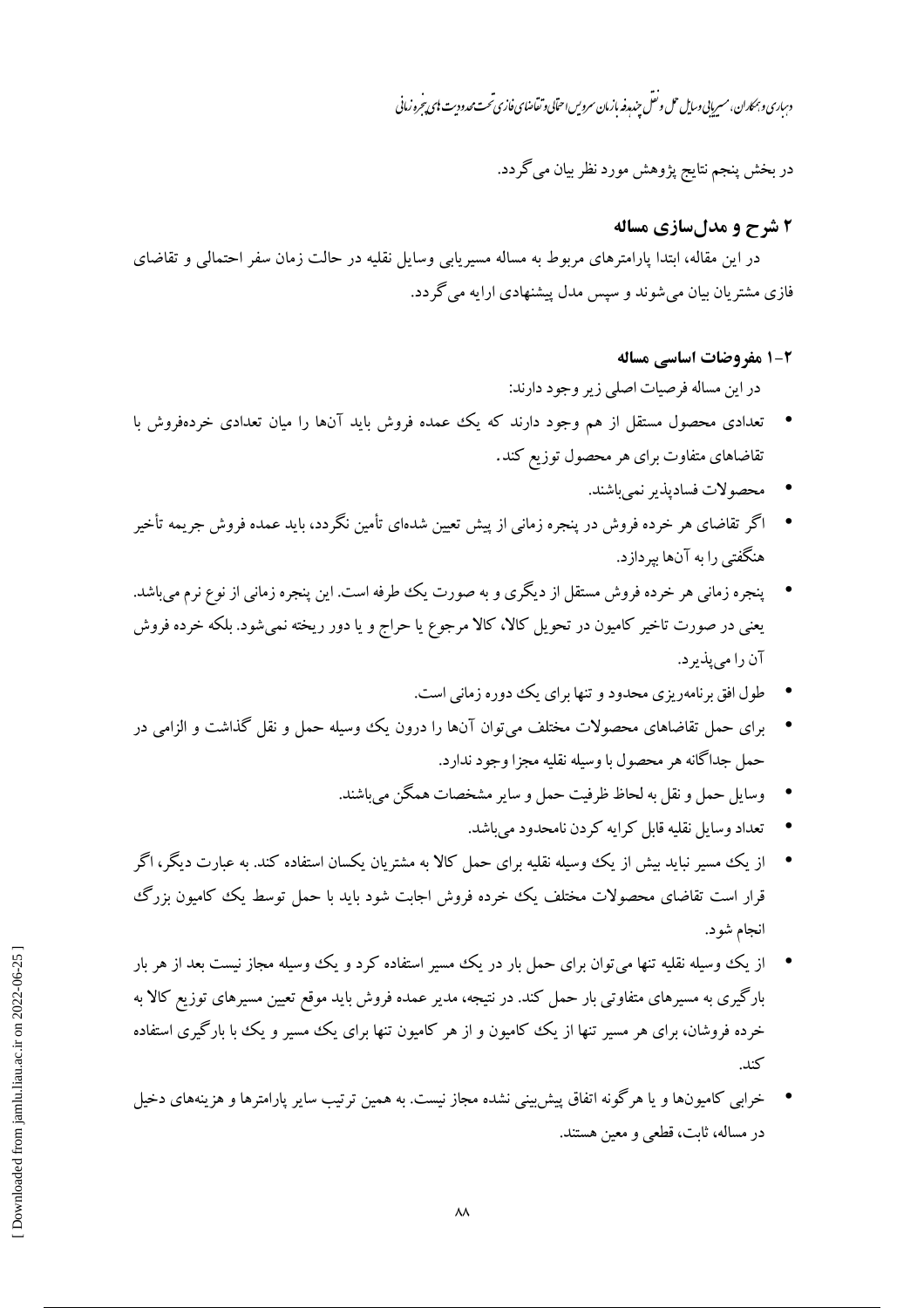دساری و بمکاران، مسربایی وسایل حل و نقل حندمدفه مازمان سروس احتابی و تقاضای فازی تحت محدود ست ای بیرخرو زمانی

در بخش پنجم نتايج پژوهش مورد نظر بيان مي گردد.

#### ۲ شرح و مدل سازی مساله

در این مقاله، ابتدا پارامترهای مربوط به مساله مسیریابی وسایل نقلیه در حالت زمان سفر احتمالی و تقاضای فازی مشتریان بیان میشوند و سپس مدل پیشنهادی ارایه می گردد.

#### 2-1 مفروضات اساسی مساله

در این مساله فرصیات اصلی زیر وجود دارند:

- تعدادی محصول مستقل از هم وجود دارند که یک عمده فروش باید آنها را میان تعدادی خردهفروش با تقاضاهای متفاوت برای هر محصول توزیع کند.
	- محصولات فساديذير نمي باشند.
- اگر تقاضای هر خرده فروش در پنجره زمانی از پیش تعیین شدهای تأمین نگردد، باید عمده فروش جریمه تأخیر هنگفتی را به آنها به دازد.
- \_ پنجره زمانی هر خرده فروش مستقل از دیگری و به صورت یک طرفه است. این پنجره زمانی از نوع نرم میباشد. یعنی در صورت تاخیر کامیون در تحویل کالا، کالا مرجوع یا حراج و یا دور ریخته نمیشود. بلکه خرده فروش آن را می پذیر د.
	- طول افق برنامهریزی محدود و تنها برای یک دوره زمانی است.
- برای حمل تقاضاهای محصولات مختلف می توان آنها را درون یک وسیله حمل و نقل گذاشت و الزامی در حمل جداگانه هر محصول با وسیله نقلیه مجزا وجود ندارد.
	- وسایل حمل و نقل به لحاظ ظرفت حمل و سایر مشخصات همگن می باشند.
		- تعداد وسایل نقلبه قابل کرایه کردن نامحدود مے باشد.
- از یک مسیر نباید بیش از یک وسیله نقلیه برای حمل کالا به مشتریان یکسان استفاده کند. به عبارت دیگر، اگر قرار است تقاضای محصولات مختلف یک خرده فروش اجابت شود باید با حمل توسط یک کامیون بزرگ انجام شو د.
- از یک ووسیله نقلیه تنها می توان برای حمل بار در یک مسیر استفاده کرد و یک ووسیله مجاز نیست بعد از هر بار  $\bullet$ بارگیری به مسیرهای متفاوتی بار حمل کند. در نتیجه، مدیر عمده فروش باید موقع تعیین مسیرهای توزیع کالا به خرده فروشان، برای هر مسیر تنها از یک کامپون و از هر کامپون تنها برای یک مسیر و یک با بارگیری استفاده كند.
- خرابی کامیونها و یا هرگونه اتفاق پیش بینی نشده مجاز نیست. به همین ترتیب سایر پارامترها و هزینههای دخیل در مساله، ثابت، قطعی و معین هستند.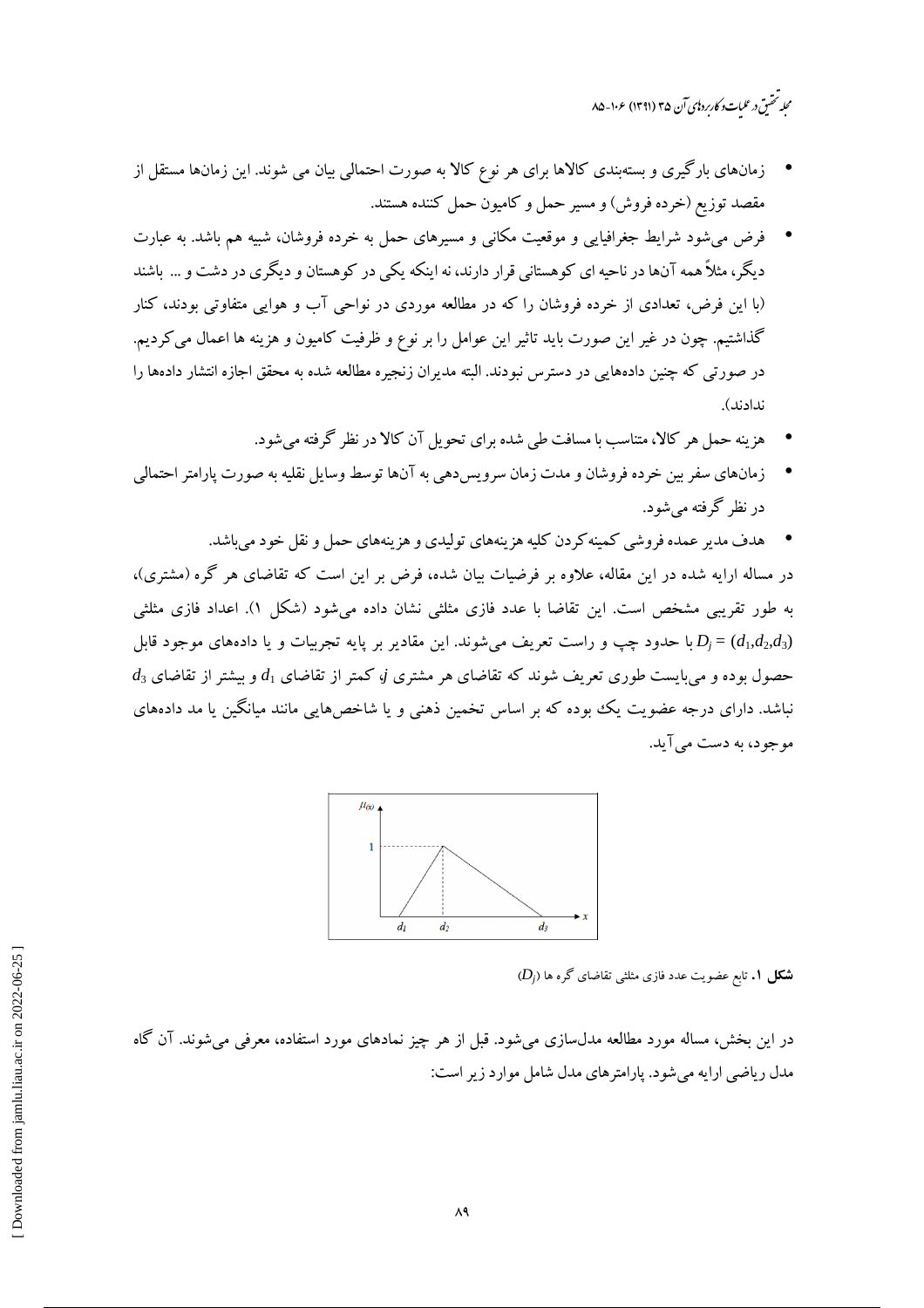محله تحقىق درعليات وكاربرد إي آن ٣۵ (١٣٩١) عز ٥-٨-٨۵

- زمانهای بارگیری و بستهبندی کالاها برای هر نوع کالا به صورت احتمالی بیان می شوند. این زمانها مستقل از مقصد توزیع (خرده فروش) و مسیر حمل و کامیون حمل کننده هستند.
- فرض می شود شرایط جغرافیایی و موقعیت مکانی و مسیرهای حمل به خرده فروشان، شبیه هم باشد. به عبارت دیگر، مثلاً همه آنها در ناحیه ای کوهستانی قرار دارند، نه اینکه یکی در کوهستان و دیگری در دشت و … باشند (با این فرض، تعدادی از خرده فروشان را که در مطالعه موردی در نواحی آب و هوایی متفاوتی بودند، کنار گذاشتیم. چون در غیر این صورت باید تاثیر این عوامل را بر نوع و ظرفیت کامیون و هزینه ها اعمال می کردیم. در صورتی که چنین دادههایی در دسترس نبودند. البته مدیران زنجیره مطالعه شده به محقق اجازه انتشار دادهها را ندادند).
	- هزینه حمل هر کالا، متناسب با مسافت طی شده برای تحویل آن کالا در نظر گرفته می شود.
- زمانهای سفر بین خرده فروشان و مدت زمان سرویس دهی به آنها توسط وسایل نقلیه به صورت پارامتر احتمالی در نظر گرفته مے شود.
	- هدف مدیر عمده فروشی کمینهکردن کلیه هزینههای تولیدی و هزینههای حمل و نقل خود میباشد.

در مساله ارایه شده در این مقاله، علاوه بر فرضیات بیان شده، فرض بر این است که تقاضای هر گره (مشتری)، به طور تقریبی مشخص است. این تقاضا با عدد فازی مثلثی نشان داده میشود (شکل ۱). اعداد فازی مثلثی با حدود چپ و راست تعریف می شوند. این مقادیر بر پایه تجربیات و یا دادههای موجود قابل  $D_i$  حدود چپ و راست تعریف می شوند. این مقادیر بر پایه تجربیات و یا  $d_3$  حصول بوده و می بایست طوری تعریف شوند که تقاضای هر مشتری ji کمتر از تقاضای  $d_1$  و بیشتر از تقاضای  $d_3$ نباشد. دارای درجه عضویت یک بوده که بر اساس تخمین ذهنی و یا شاخص هایی مانند میانگین یا مد دادههای موجود، به دست مي آيد.



 $(D_i)$  شکل ۱. تابع عضویت عدد فازی مثلثی تقاضای گره ها

در این بخش، مساله مورد مطالعه مدلسازی می شود. قبل از هر چیز نمادهای مورد استفاده، معرفی می شوند. آن گاه مدل ریاضی ارایه می شود. یارامترهای مدل شامل موارد زیر است: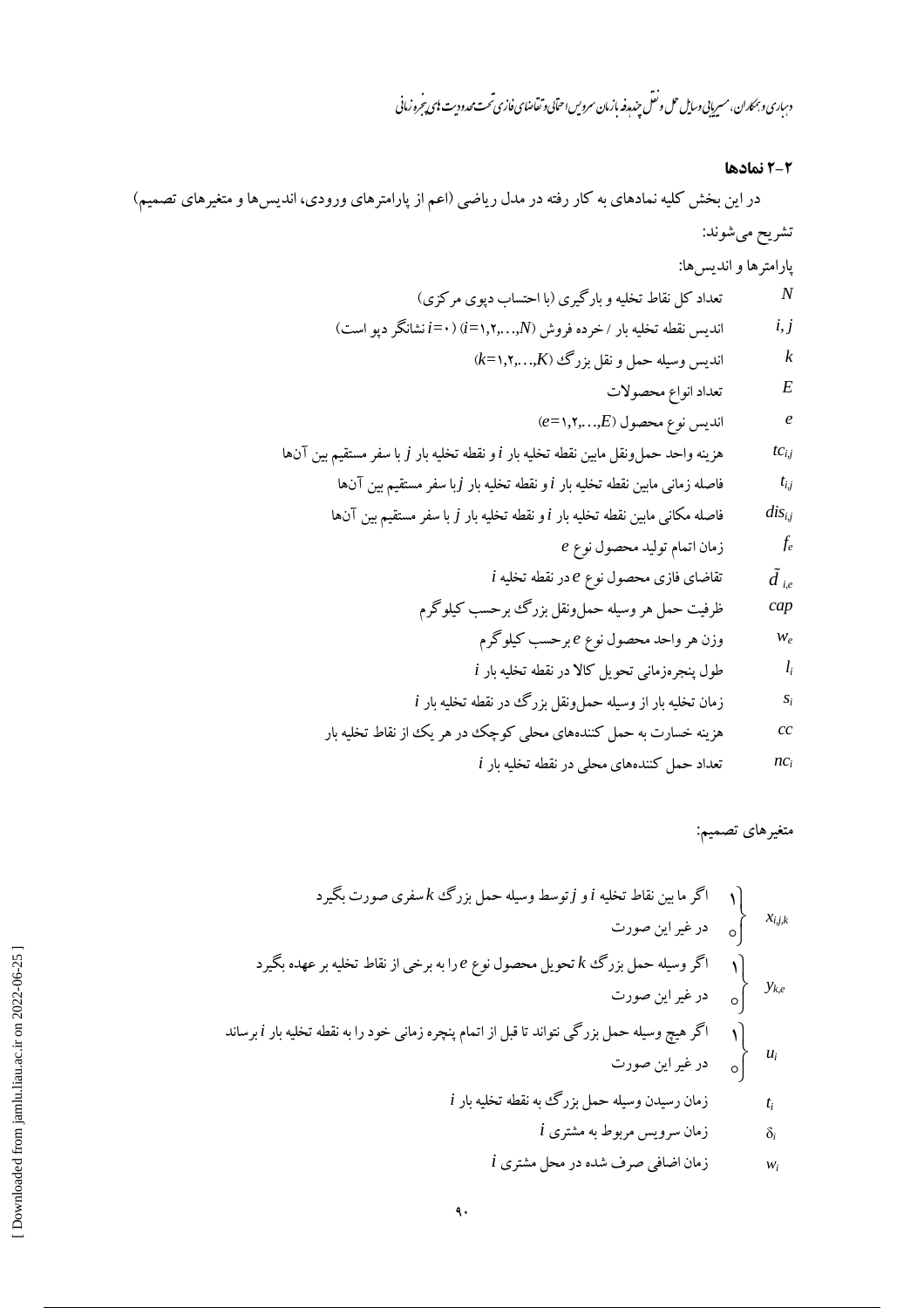دساری و بمکاران، مسریایی *دسای*ل حل و نقل چندم**دفه** بازمان سرویس احتابی و تقاضای فازی تحت محدودیت **ب**ای تجره زمانی

# ٢-٢ نمادها

متغیرهای تصمیم:

\n
$$
\left\{\n\begin{aligned}\n &\text{if } \begin{aligned}\n &\text{if } \begin{aligned}\n &\text{if } \begin{aligned}\n &\text{if } \begin{aligned}\n &\text{if } \begin{aligned}\n &\text{if } \begin{aligned}\n &\text{if } \begin{aligned}\n &\text{if } \begin{aligned}\n &\text{if } \begin{aligned}\n &\text{if } \begin{aligned}\n &\text{if } \begin{aligned}\n &\text{if } \begin{aligned}\n &\text{if } \begin{aligned}\n &\text{if } \begin{aligned}\n &\text{if } \begin{aligned}\n &\text{if } \begin{aligned}\n &\text{if } \begin{aligned}\n &\text{if } \begin{aligned}\n &\text{if } \begin{aligned}\n &\text{if } \begin{aligned}\n &\text{if } \begin{aligned}\n &\text{if } \begin{aligned}\n &\text{if } \begin{aligned}\n &\text{if } \begin{aligned}\n &\text{if } \begin{aligned}\n &\text{if } \begin{aligned}\n &\text{if } \begin{aligned}\n &\text{if } \begin{aligned}\n &\text{if } \begin{aligned}\n &\text{if } \begin{aligned}\n &\text{if } \begin{aligned}\n &\text{if } \begin{aligned}\n &\text{if } \begin{aligned}\n &\text{if } \begin{aligned}\n &\text{if } \begin{aligned}\n &\text{if } \begin{aligned}\n &\text{if } \begin{aligned}\n &\text{if } \begin{aligned}\n &\text{if } \begin{aligned}\n &\text{if } \begin{aligned}\n &\text{if } \begin{aligned}\n &\text{if } \begin{aligned}\n &\text{if } \begin{aligned}\n &\text{if } \begin{aligned}\n &\text{if } \begin{aligned}\n &\text{if } \begin{aligned}\n &\text{if } \begin{aligned}\n &\text{if } \begin{aligned}\n &\text{if } \begin{aligned}\n &\text{if } \begin{aligned}\n &\text{if } \begin{aligned}\n &\text{if } \begin{aligned}\n &\text{if } \begin{aligned}\n &\text{if } \begin{aligned}\n &\text{if } \begin{aligned}\n &\text{if } \begin{aligned}\n &\text{if } \begin{aligned}\n &\text{if }
$$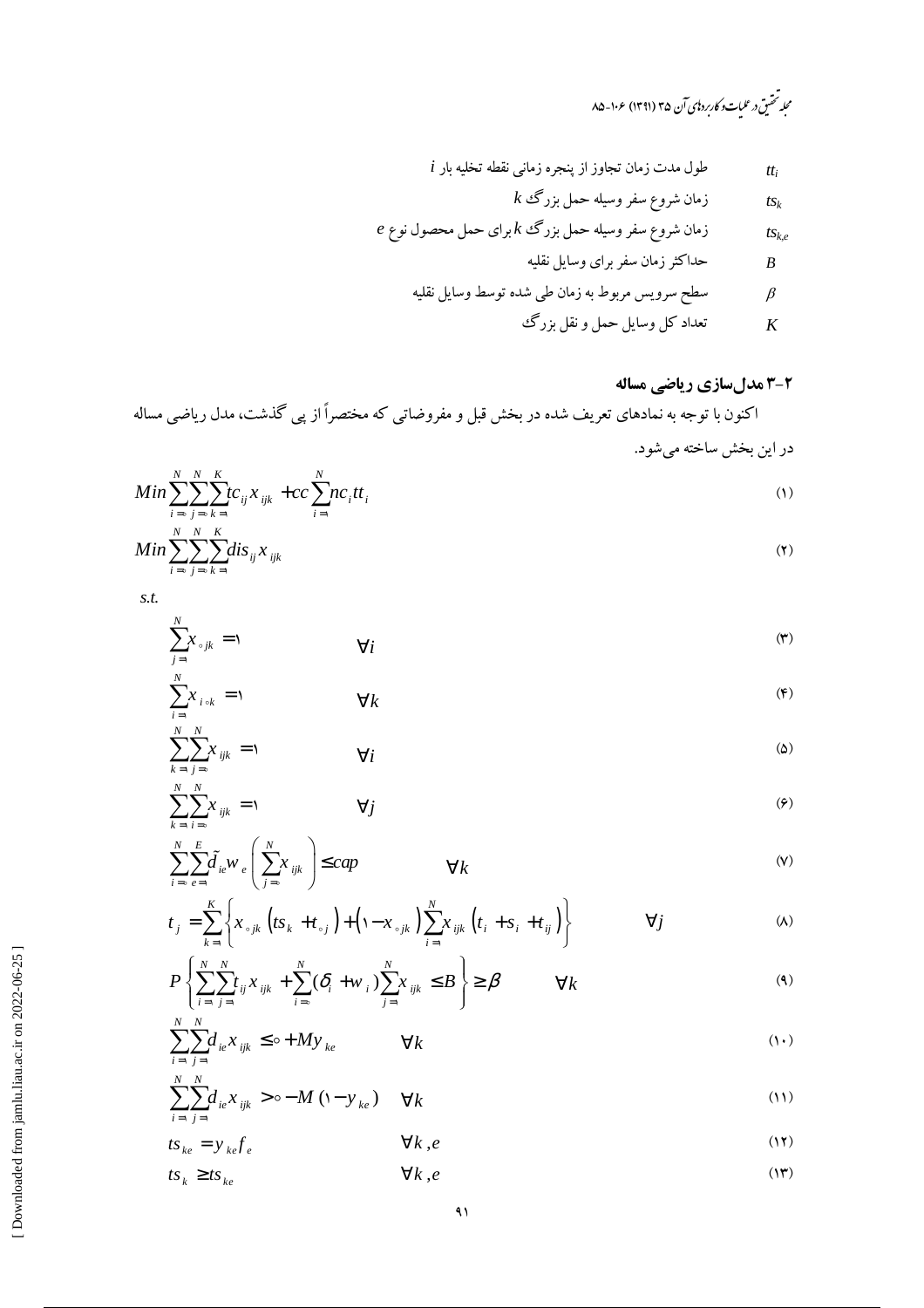مجله تحقیق در علیات و کاربرد نای آن ۳۵ (۱۳۹۱) ۱۰۶-۸۵

$$
i
$$
 یا تخلیه بار ینجره زمانینچره زمانی نقطه تخلیه بار

$$
k \, \mathfrak{S}_k
$$
 بیمی مفر وسیله حمل بزرگ

$$
e \in \mathcal{E}
$$
 زمان شروع سفر وسیله حمل بزرگ  $k$  برای حمل محصول نوع

$$
B
$$

$$
\beta
$$

تعداد کل وسایل حمل و نقل بزرگ  $\boldsymbol{K}$ 

# ۲-۳ مدلسازی ریاضی مساله

اکنون با توجه به نمادهای تعریف شده در بخش قبل و مفروضاتی که مختصراً از پی گذشت، مدل ریاضی مساله در این بخش ساخته می شود.

$$
Min \sum_{i=0}^{N} \sum_{j=0}^{N} \sum_{k=1}^{K} t c_{ij} x_{ijk} + cc \sum_{i=1}^{N} n c_i t t_i
$$
 (1)

$$
Min \sum_{i=\circ}^{N} \sum_{j=\circ}^{N} \sum_{k=1}^{K} dis_{ij} x_{ijk}
$$
 (7)

 $S.t.$ 

$$
\sum_{j=1}^{N} x_{\circ jk} = 1 \qquad \qquad \forall i
$$

$$
\sum_{i=1}^{N} x_{i \circ k} = 1 \qquad \forall k
$$

$$
\sum_{k=1}^{N} \sum_{j=0}^{N} x_{ijk} = 1
$$
 (2)

$$
\sum_{k=1}^{N} \sum_{i=0}^{N} x_{ijk} = 1 \qquad \forall j
$$
\n
$$
\langle \varphi \rangle
$$

$$
\sum_{i=\infty}^{N} \sum_{e=1}^{E} \tilde{d}_{ie} w_e \left( \sum_{j=\infty}^{N} x_{ijk} \right) \leq cap \qquad \forall k
$$
 (V)

$$
t_j = \sum_{k=1}^K \left\{ x_{\circ jk} \left( t s_k + t_{\circ j} \right) + \left( 1 - x_{\circ jk} \right) \sum_{i=1}^N x_{ijk} \left( t_i + s_i + t_{ij} \right) \right\} \qquad \forall j
$$

$$
P\left\{\sum_{i=1}^{N}\sum_{j=1}^{N}t_{ij}x_{ijk} + \sum_{i=0}^{N}(\delta_i + w_i)\sum_{j=1}^{N}x_{ijk} \leq B\right\} \geq \beta \qquad \forall k
$$
\n(9)

$$
\sum_{i=1}^{N} \sum_{j=1}^{N} d_{ie} x_{ijk} \leq \sigma + My_{ke} \qquad \forall k
$$
 (1)

$$
\sum_{i=1}^{N} \sum_{j=1}^{N} d_{ie} x_{ijk} > \circ -M \left(1 - y_{ke}\right) \quad \forall k
$$
\n
$$
(11)
$$

$$
ts_{ke} = y_{ke} f_e \qquad \qquad \forall k, e \qquad (17)
$$

$$
ts_k \geq ts_{ke} \tag{17}
$$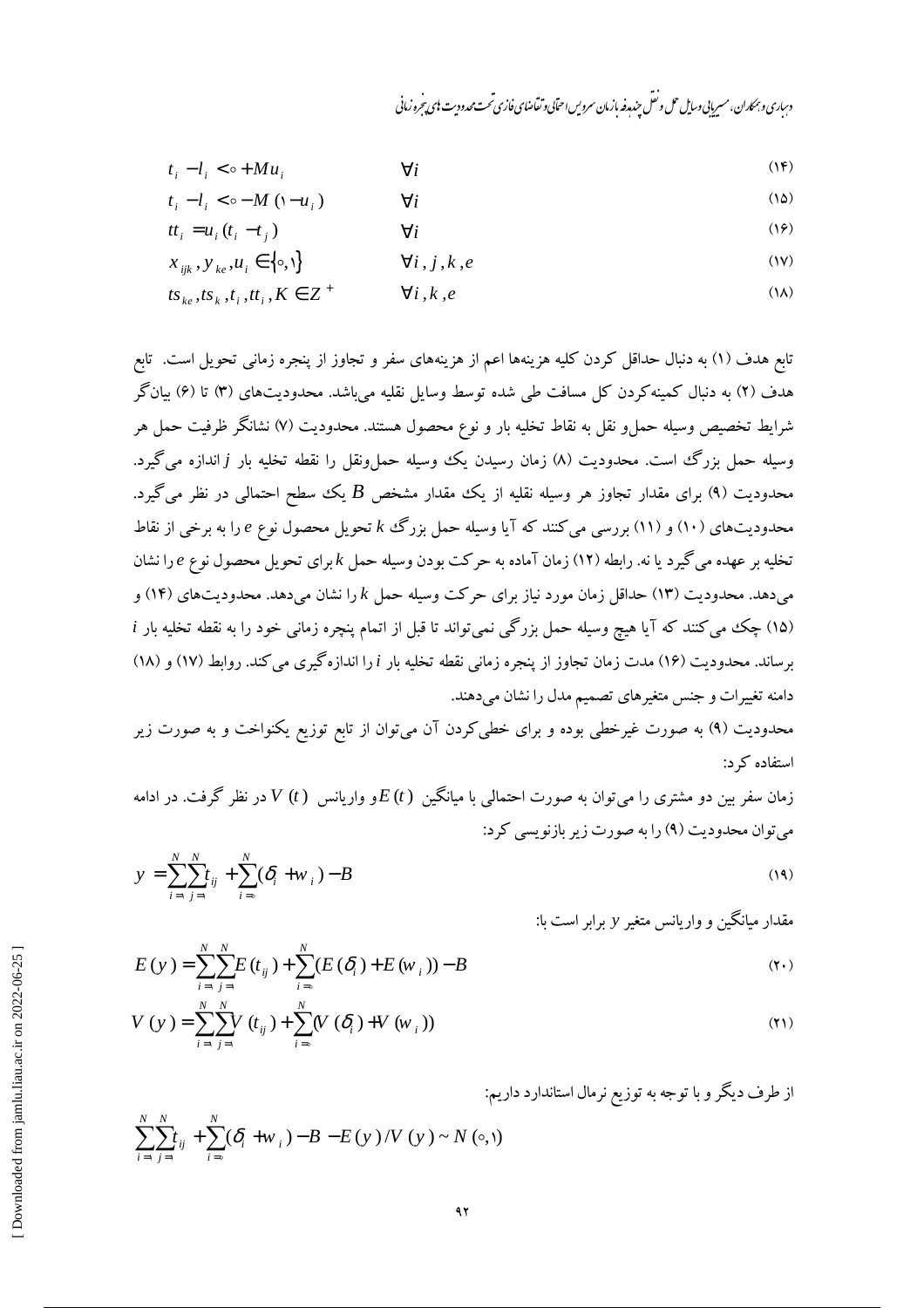دساری و بهماران، مسربانی وسایل حل و نقل حندرو نه ازمان سروس احتابی و تقاضای فازی تحت محدود ت بای تحرو زمانی

$$
t_i - l_i < \circ + M u_i \tag{16}
$$

$$
t_i - l_i < \circ -M \ ( \mathbf{i} - u_i ) \qquad \qquad \forall i \tag{12}
$$

$$
tt_i = u_i(t_i - t_j) \qquad \qquad \forall i
$$

$$
x_{ijk}, y_{ke}, u_i \in \{ \circ, \mathcal{V} \} \qquad \qquad \forall i, j, k, e \tag{1V}
$$

$$
ts_{ke}, ts_k, t_i, tt_i, K \in \mathbb{Z}^+ \qquad \forall i, k, e
$$
 (1A)

تابع هدف (۱) به دنبال حداقل کردن کلیه هزینهها اعم از هزینههای سفر و تجاوز از پنجره زمانی تحویل است. تابع هدف (۲) به دنبال کمینهکردن کل مسافت طی شده توسط وسایل نقلیه میباشد. محدودیتهای (۳) تا (۶) بیانگر شرايط تخصيص وسيله حملو نقل به نقاط تخليه بار و نوع محصول هستند. محدوديت (۷) نشانگر ظرفيت حمل هر وسیله حمل بزرگ است. محدودیت (۸) زمان رسیدن یک وسیله حملونقل را نقطه تخلیه بار j اندازه میگیرد. محدودیت (۹) برای مقدار تجاوز هر وسیله نقلیه از یک مقدار مشخص  $B$  یک سطح احتمالی در نظر میگیرد. محدودیتهای (۱۰) و (۱۱) بررسی میکنند که آیا وسیله حمل بزرگ k تحویل محصول نوع e را به برخی از نقاط تخلیه بر عهده می گیرد یا نه. رابطه (۱۲) زمان آماده به حرکت بودن وسیله حمل  $k$ برای تحویل محصول نوع  $e$  را نشان میدهد. محدودیت (۱۳) حداقل زمان مورد نیاز برای حرکت وسیله حمل  $k$  را نشان میدهد. محدودیتهای (۱۴) و (۱۵) چک می کنند که آیا هیچ وسیله حمل بزرگی نمی تواند تا قبل از اتمام پنچره زمانی خود را به نقطه تخلیه بار i برساند. محدودیت (۱۶) مدت زمان تجاوز از پنجره زمانی نقطه تخلیه بار i را اندازهگیری می کند. روابط (۱۷) و (۱۸) دامنه تغییرات و جنس متغیرهای تصمیم مدل را نشان میدهند.

محدودیت (۹) به صورت غیرخطی بوده و برای خطیکردن آن میتوان از تابع توزیع یکنواخت و به صورت زیر استفاده که د:

زمان سفر بین دو مشتری را می توان به صورت احتمالی با میانگین  $E(t)$ و واریانس  $V\left( t\right)$  در نظر گرفت. در ادامه می توان محدودیت (۹) را به صورت زیر بازنویسی کرد:  $\mathbf{v}$   $\mathbf{v}$   $\mathbf{v}$ 

$$
y = \sum_{i=1}^{N} \sum_{j=1}^{N} t_{ij} + \sum_{i=0}^{N} (\delta_i + w_i) - B
$$
 (19)

مقدار میانگین و واریانس متغیر y برابر است با:

$$
E(y) = \sum_{i=1}^{N} \sum_{j=1}^{N} E(t_{ij}) + \sum_{i=0}^{N} (E(\delta_i) + E(w_{i}))) - B
$$
  
\n
$$
V(y) = \sum_{i=1}^{N} \sum_{j=1}^{N} V(t_{i}) + \sum_{i=0}^{N} (V(\delta_{i}) + V(w_{i})))
$$
\n(3)

$$
V(y) = \sum_{i=1}^{N} \sum_{j=1}^{N} V(t_{ij}) + \sum_{i=0}^{N} (V(\delta_i) + V(w_i))
$$
\n(1)

از طرف دیگر و با توجه به توزیع نرمال استاندارد داریم:

$$
\sum_{i=1}^{N} \sum_{j=1}^{N} t_{ij} + \sum_{i=0}^{N} (\delta_i + w_i) - B - E(y) / V(y) \sim N(\infty, 0)
$$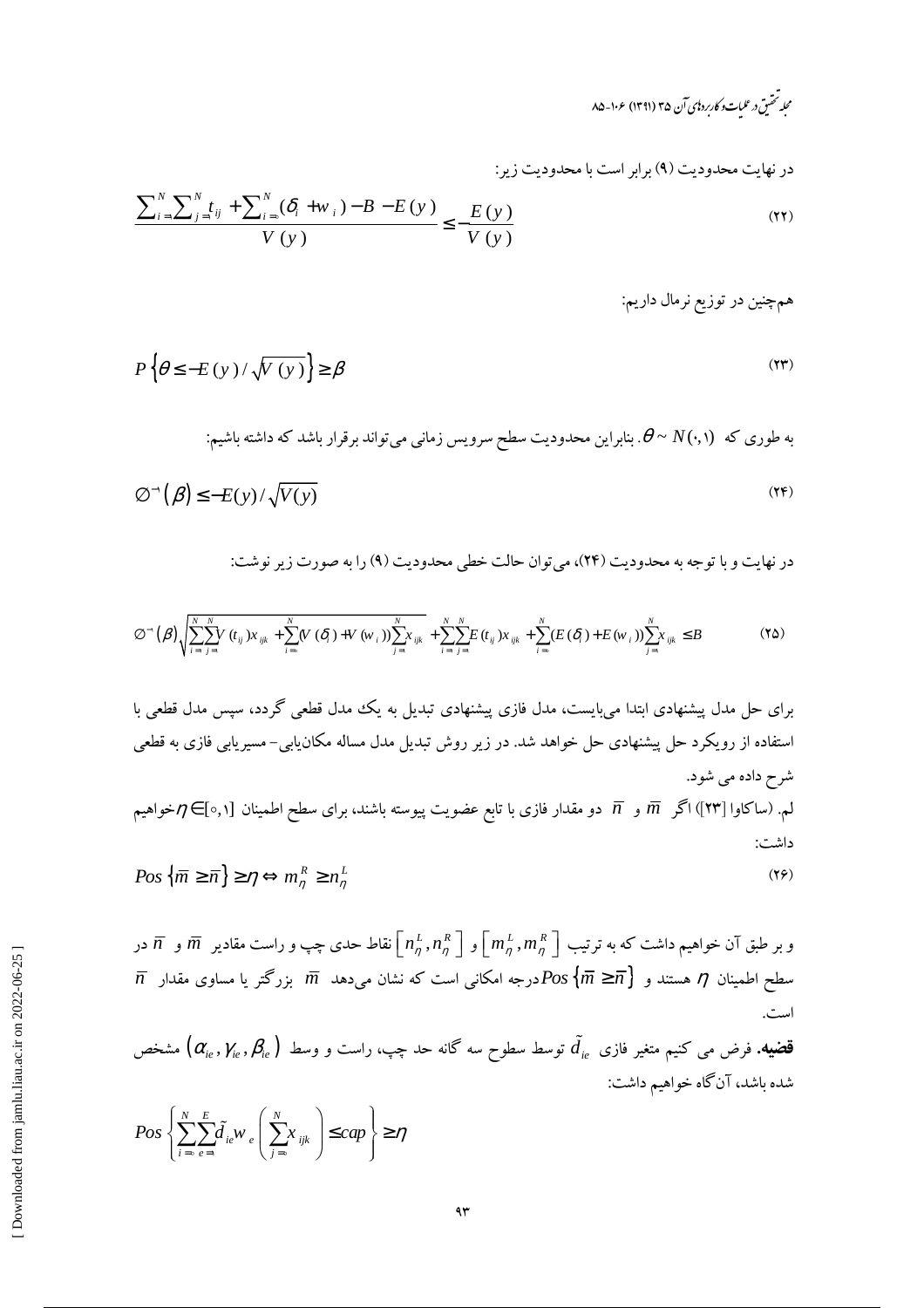در نهایت محدودیت (۹) برابر است با محدودیت زیر:

$$
\frac{\sum_{i=1}^{N} \sum_{j=1}^{N} t_{ij} + \sum_{i=0}^{N} (\delta_i + w_i) - B - E(y)}{V(y)} \le -\frac{E(y)}{V(y)}
$$
(11)

همچنین در توزیع نرمال داریم:

$$
P\left\{\theta \le -E\left(y\right)/\sqrt{V\left(y\right)}\right\} \ge \beta\tag{Y}
$$

به طوری که 
$$
N(\cdot, \cdot)
$$
۰. بنابراین محدودیت سطح سرویس زمانی میتواند برقرار باشد که داشته باشیم:

$$
\varnothing^{\scriptscriptstyle -1}(\beta) \le -E(y)/\sqrt{V(y)}\tag{YF}
$$

در نهایت و با توجه به محدودیت (۲۴)، می توان حالت خطی محدودیت (۹) را به صورت زیر نوشت:

$$
\emptyset^{\sim}(\beta)\sqrt{\sum_{i=1}^{N}\sum_{j=1}^{N}(t_{ij})x_{ijk}+\sum_{i=0}^{N}(V(\delta_{i})+V(w_{i}))\sum_{j=1}^{N}x_{ijk}}+\sum_{i=1}^{N}\sum_{j=1}^{N}(t_{ij})x_{ijk}+\sum_{i=0}^{N}(E(\delta_{i})+E(w_{i}))\sum_{j=1}^{N}x_{ijk}\leq B
$$
\n(7\delta)

برای حل مدل پیشنهادی ابتدا میبایست، مدل فازی پیشنهادی تبدیل به یکف مدل قطعی گردد، سپس مدل قطعی با  
استفاده از رویکرد حال پیشنهادی حل خواهد شد. در زیر روش تبدیل مدل مساله مکانیابی– مسیریابی فازی به قطعی  
ئم. (ساکاوا [۳۳]) اگر  
$$
\overline{n}
$$
  و   $\overline{n}$   دو مقدار فازی با تابع عضویت پیوسته باشند، برای سطح اطمینان [۵,۱] =  $\eta$  خواهیم  
داشت:  
داشت:  
۱۲۵،  $\{\overline{m} \geq \overline{n}\} \geq \eta \Leftrightarrow m_n^R \geq n_n^L$ 

و بر طبق آن خواهیم داشت که به ترتیب  $\left[m^L_\eta,n^R_\eta\right]$ و  $\left[n^L_\eta,n^R_\eta\right]$ نقاط حدی چپ و راست مقادیر  $\overline{m}$  و  $\overline{n}$  در  $\overline{n}$  سطح اطمینان  $\eta$  هستند و  $\overline{m} \geqslant \overline{m}$ درجه امکانی است که نشان می<code>cas</code> سطح اطمینان  $\eta$  هستند و  $\overline{m}$ است.

$$
\mathbf{\tilde{a}}_{ie}, \gamma_{ie}, \beta_{ie}
$$
ه خنیم متغیر فازی  $\tilde{d}_{ie}$  توسط سطوح سه گانه حد چپ، راست و وسط (α<sub>ie</sub>,  $\gamma_{ie}, \beta_{ie}$ ) مشخص  
شده باشد، آنگاه خواهیم داشت:

$$
Pos\left\{\sum_{i=0}^{N}\sum_{e=1}^{E}\tilde{d}_{ie}W_{e}\left(\sum_{j=0}^{N}x_{ijk}\right)\le cap\right\}\geq \eta
$$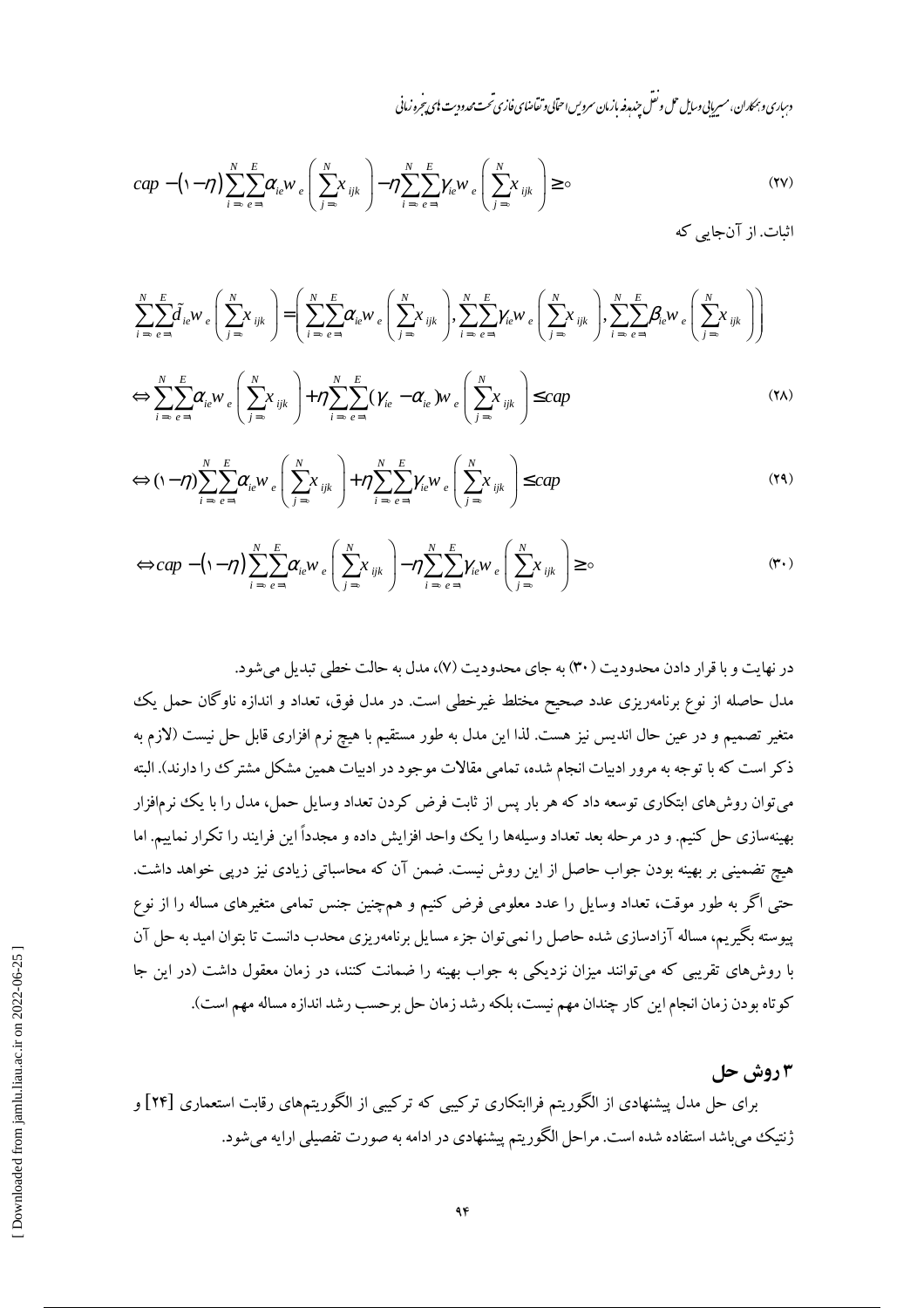دساری و بمحاران، مسربایی وسایل حل و نقل حندرو بازمان سروس احتابی و تقاضای فازی تحت محدود ست ای بیرخرو زمانی

$$
cap - (\n-\eta) \sum_{i=\circ}^{N} \sum_{e=1}^{E} \alpha_{ie} w_e \left( \sum_{j=\circ}^{N} x_{ijk} \right) - \eta \sum_{i=\circ}^{N} \sum_{e=1}^{E} \gamma_{ie} w_e \left( \sum_{j=\circ}^{N} x_{ijk} \right) \geq \circ
$$
\n
$$
(YV)
$$

اثبات. از آنجایی که

$$
\sum_{i=0}^{N} \sum_{e=1}^{E} \tilde{d}_{ie} W_e \left( \sum_{j=0}^{N} X_{ijk} \right) = \left( \sum_{i=0}^{N} \sum_{e=1}^{E} \alpha_{ie} W_e \left( \sum_{j=0}^{N} X_{ijk} \right), \sum_{i=0}^{N} \sum_{e=1}^{E} \gamma_{ie} W_e \left( \sum_{j=0}^{N} X_{ijk} \right), \sum_{i=0}^{N} \sum_{e=1}^{E} \beta_{ie} W_e \left( \sum_{j=0}^{N} X_{ijk} \right) \right)
$$

$$
\Leftrightarrow \sum_{i=0}^{N} \sum_{e=1}^{E} \alpha_{ie} w_e \left( \sum_{j=0}^{N} x_{ijk} \right) + \eta \sum_{i=0}^{N} \sum_{e=1}^{E} (\gamma_{ie} - \alpha_{ie}) w_e \left( \sum_{j=0}^{N} x_{ijk} \right) \leq cap \tag{YA}
$$

$$
\Leftrightarrow (\mathbf{1} - \eta) \sum_{i=0}^{N} \sum_{e=1}^{E} \alpha_{ie} w_e \left( \sum_{j=0}^{N} x_{ijk} \right) + \eta \sum_{i=0}^{N} \sum_{e=1}^{E} \gamma_{ie} w_e \left( \sum_{j=0}^{N} x_{ijk} \right) \leq cap \tag{74}
$$

$$
\Leftrightarrow cap - (\mathbf{1} - \eta) \sum_{i=0}^{N} \sum_{e=1}^{E} \alpha_{ie} w_e \left( \sum_{j=0}^{N} x_{ijk} \right) - \eta \sum_{i=0}^{N} \sum_{e=1}^{E} \gamma_{ie} w_e \left( \sum_{j=0}^{N} x_{ijk} \right) \ge 0 \tag{4.}
$$

در نهایت و با قرار دادن محدودیت ( ۳۰) به جای محدودیت (۷)، مدل به حالت خطی تبدیل می شود. مدل حاصله از نوع برنامهریزی عدد صحیح مختلط غیرخطی است. در مدل فوق، تعداد و اندازه ناوگان حمل یک متغیر تصمیم و در عین حال اندیس نیز هست. لذا این مدل به طور مستقیم با هیچ نرم افزاری قابل حل نیست (لازم به ذکر است که با توجه به مرور ادبیات انجام شده، تمامی مقالات موجود در ادبیات همین مشکل مشترک را دارند). البته میتوان روش۵ای ابتکاری توسعه داد که هر بار پس از ثابت فرض کردن تعداد وسایل حمل، مدل را با یک نرمافزار بهینهسازی حل کنیم. و در مرحله بعد تعداد وسیلهها را یک واحد افزایش داده و مجدداً این فرایند را تکرار نماییم. اما هیچ تضمینی بر بهینه بودن جواب حاصل از این روش نیست. ضمن آن که محاسباتی زیادی نیز درپی خواهد داشت. حتی اگر به طور موقت، تعداد وسایل را عدد معلومی فرض کنیم و همچنین جنس تمامی متغیرهای مساله را از نوع پیوسته بگیریم، مساله آزادسازی شده حاصل را نمی توان جزء مسایل برنامهریزی محدب دانست تا بتوان امید به حل آن با روشهای تقریبی که می توانند میزان نزدیکی به جواب بهینه را ضمانت کنند، در زمان معقول داشت (در این جا كوتاه بودن زمان انجام اين كار چندان مهم نيست، بلكه رشد زمان حل برحسب رشد اندازه مساله مهم است).

## 3 روش حل

برای حل مدل پیشنهادی از الگوریتم فراابتکاری ترکیبی که ترکیبی از الگوریتمهای رقابت استعماری [۲۴] و ژنتیک میباشد استفاده شده است. مراحل الگوریتم پیشنهادی در ادامه به صورت تفصیلی ارایه میشود.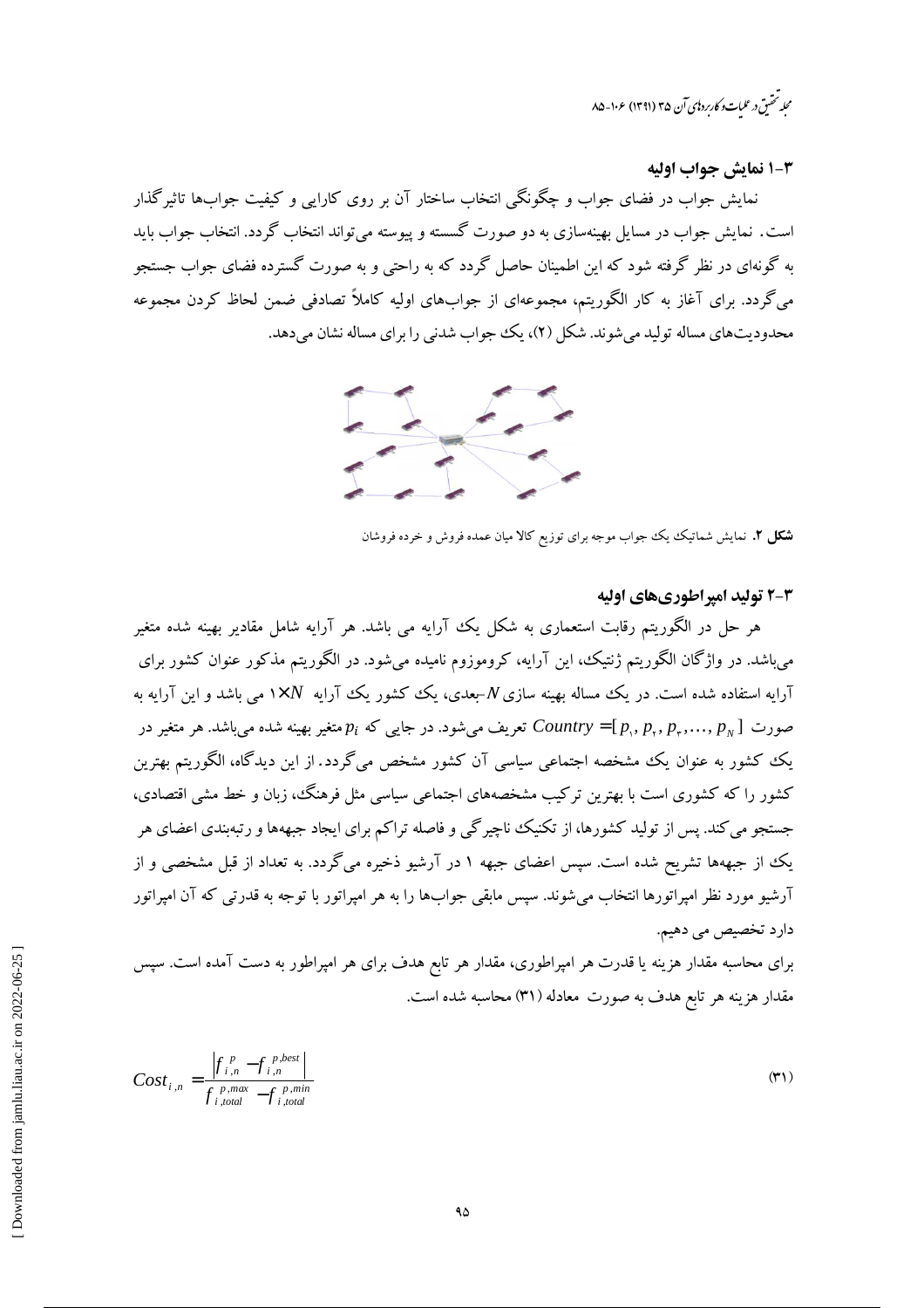محله تحقىق درعلىات وكارىردىي آن ۳۵ (۱۳۹۱) ۱۰۶–۸۵

5-1 نمايش جواب اوليه

نمایش جواب در فضای جواب و چگونگی انتخاب ساختار آن بر روی کارایی و کیفیت جوابها تاثیرگذار است. نمایش جواب در مسایل بهینهسازی به دو صورت گسسته و پیوسته می تواند انتخاب گردد. انتخاب جواب باید به گونهای در نظر گرفته شود که این اطمینان حاصل گردد که به راحتی و به صورت گسترده فضای جواب جستجو میگردد. برای آغاز به کار الگوریتم، مجموعهای از جوابهای اولیه کاملاً تصادفی ضمن لحاظ کردن مجموعه محدودیتھای مساله تولید می شوند. شکل (۲)، یک جواب شدنی را برای مساله نشان می دهد.



**شکل ۲.** نمایش شماتیک یک جواب موجه برای توزیع کالا میان عمده فروش و خرده فروشان

#### 2-3 تولید امیراطوریهای اولیه

هر حل در الگوریتم رقابت استعماری به شکل یک آرایه می باشد. هر آرایه شامل مقادیر بهینه شده متغیر می،باشد. در واژگان الگوریتم ژنتیک، این آرایه، کروموزوم نامیده می،شود. در الگوریتم مذکور عنوان کشور برای آرایه استفاده شده است. در یک مساله بهینه سازی $N$ -بعدی، یک کشور یک آرایه  $N$ ×۱ می باشد و این آرایه به تعریف می شود. در جایبی که  $p_i$  متغیر بهینه شده می باشد. هر متغیر در  $P_i$  متغیر بهینه شده می باشد. هر متغیر در  $Contny = [p_{\rm v}, p_{\rm v}, p_{\rm v}, ..., p_{\rm w}]$ یک کشور به عنوان یک مشخصه اجتماعی سیاسی آن کشور مشخص می گردد. از این دیدگاه، الگوریتم بهترین کشور را که کشوری است ما بهترین ترکیب مشخصههای اجتماعی سیاسی مثل فرهنگ، زبان و خط مشی اقتصادی، .<br>جستجو می کند. پس از تولید کشورها، از تکنیک ناچیر گی و فاصله تراکم برای ایجاد جبههها و رتبهبندی اعضای هر یک از جبههها تشریح شده است. سپس اعضای جبهه ۱ در آرشیو ذخیره میگردد. به تعداد از قبل مشخصی و از آرشیو مورد نظر امیراتورها انتخاب می شوند. سپس مابقی جوابها را به هر امیراتور با توجه به قدرتی که آن امیراتور دارد تخصیص می دهیم.

برای محاسبه مقدار هزینه یا قدرت هر امپراطوری، مقدار هر تابع هدف برای هر امپراطور به دست آمده است. سپس مقدار هزینه هر تابع هدف به صورت معادله (۳۱) محاسبه شده است.

$$
Cost_{i,n} = \frac{\left|f_{i,n}^p - f_{i,n}^{p,best}\right|}{f_{i,total}^{p,max} - f_{i,total}^{p,min}}
$$
\n
$$
(4)
$$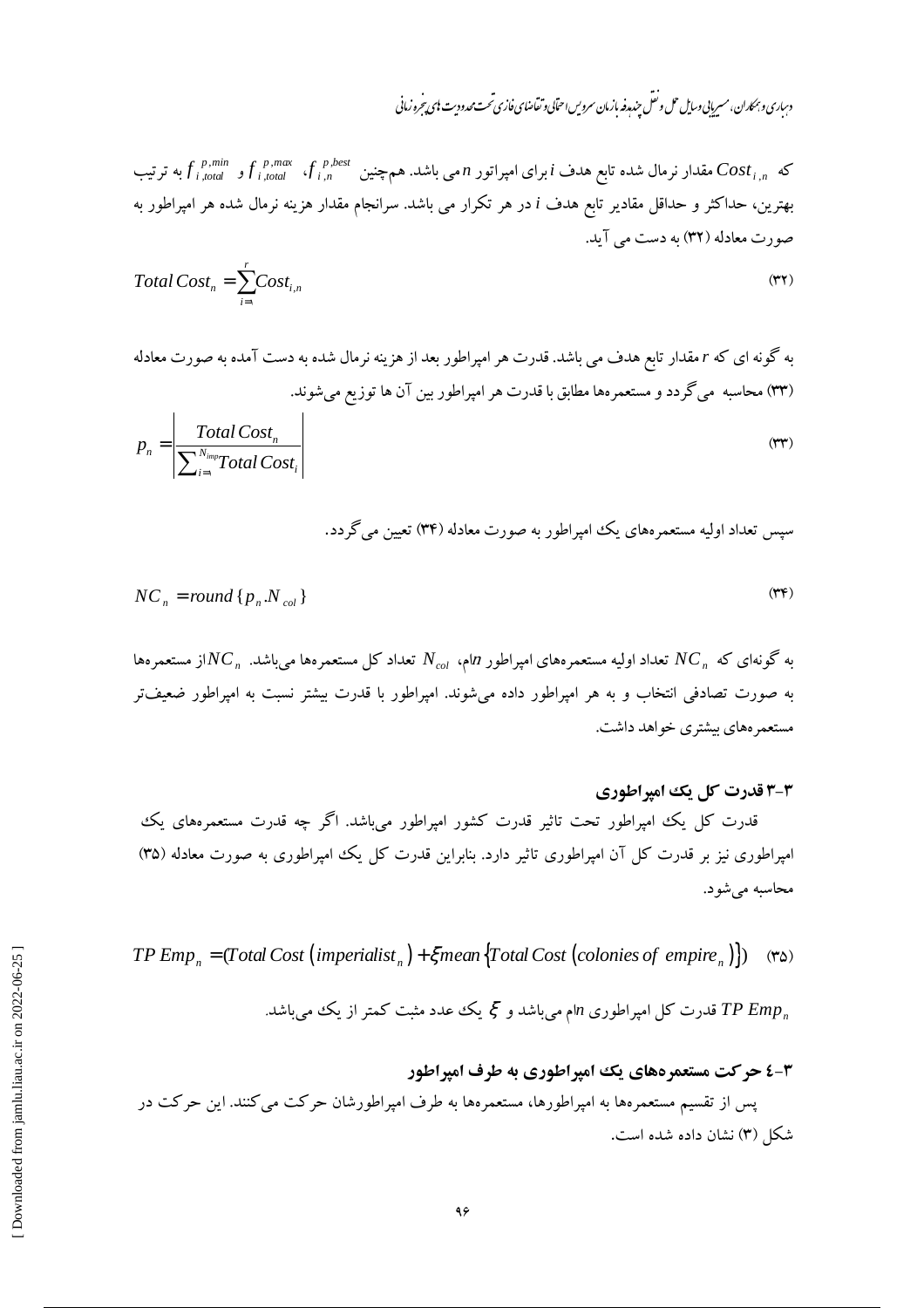دساری و بمکاران، مسریایی وسایل حل و نعل جند مدفه بازمان سرویس احتابی و تقاضای فازی تحت محدودیت ای پیجروزمانی

که 
$$
f_{i, total}^{p,min}
$$
 و تیب که ترتیب امیرای امپراتور n می باشد. همچنین ایشه، و و ای<sub>i, total</sub> و این<sub>i, total</sub> و تیب  
بهترین، حداکثر و حداقل مقادیر تابع هدف i در هر تکرار می باشد. سرانجام مقدار هزینه نرمال شده هر امپراطور به  
صورت معادله (۳۲) به دست می آید.

$$
Total Costn = \sum_{i=1}^{r} Cost_{i,n}
$$
 (\*\*)

به گونه ای که r مقدار تابع هدف می باشد. قدرت هر امپراطور بعد از هزینه نرمال شده به دست آمده به صورت معادله (۳۳) محاسبه ًمیگردد و مستعمرهها مطابق با قدرت هر امپراطور بین آن ها توزیع میشوند.

$$
p_n = \left| \frac{\text{Total Cost}_n}{\sum_{i=1}^{N_{imp}} \text{Total Cost}_i} \right| \tag{rr}
$$

سپس تعداد اولیه مستعمرههای یک امپراطور به صورت معادله (۳۴) تعیین می گردد.

$$
NC_n = round\{p_n.N_{col}\}\tag{PP}
$$

به گونهای که  $NC_{\,n}$  تعداد اولیه مستعمرههای امپراطور  $n$ ام،  $N_{\,col}$  تعداد کل مستعمرهها میباشد.  $NC_{\,n}$ از مستعمرهها به صورت تصادفی انتخاب و به هر امپراطور داده میشوند. امپراطور با قدرت بیشتر نسبت به امپراطور ضعیفتر مستعمر ههای بیشتری خواهد داشت.

### ۳-۳ قدرت کل یک امیراطوری

قدرت کل یک امپراطور تحت تاثیر قدرت کشور امپراطور می باشد. اگر چه قدرت مستعمرههای یک امپراطوری نیز بر قدرت کل آن امپراطوری تاثیر دارد. بنابراین قدرت کل یک امپراطوری به صورت معادله (۳۵) محاسبه مي شود.

*TP Emp<sub>n</sub>* = (*Total Cost* (*imperialist<sub>n</sub>*) +  $\xi$ *mean* {*Total Cost* (*colonies of empire<sub>n</sub>*)}) (\* $\omega$ )

قدرت کل امپراطوری  $n$ ام میباشد و گِ یک عدد مثبت کمتر از یک میباشد. TP Emp

# ۳-٤ حرکت مستعمر دهای یک امیراطوری به طرف امیراطور پس از تقسیم مستعمرهها به امپراطورها، مستعمرهها به طرف امپراطورشان حرکت می کنند. این حرکت در شکل (۳) نشان داده شده است.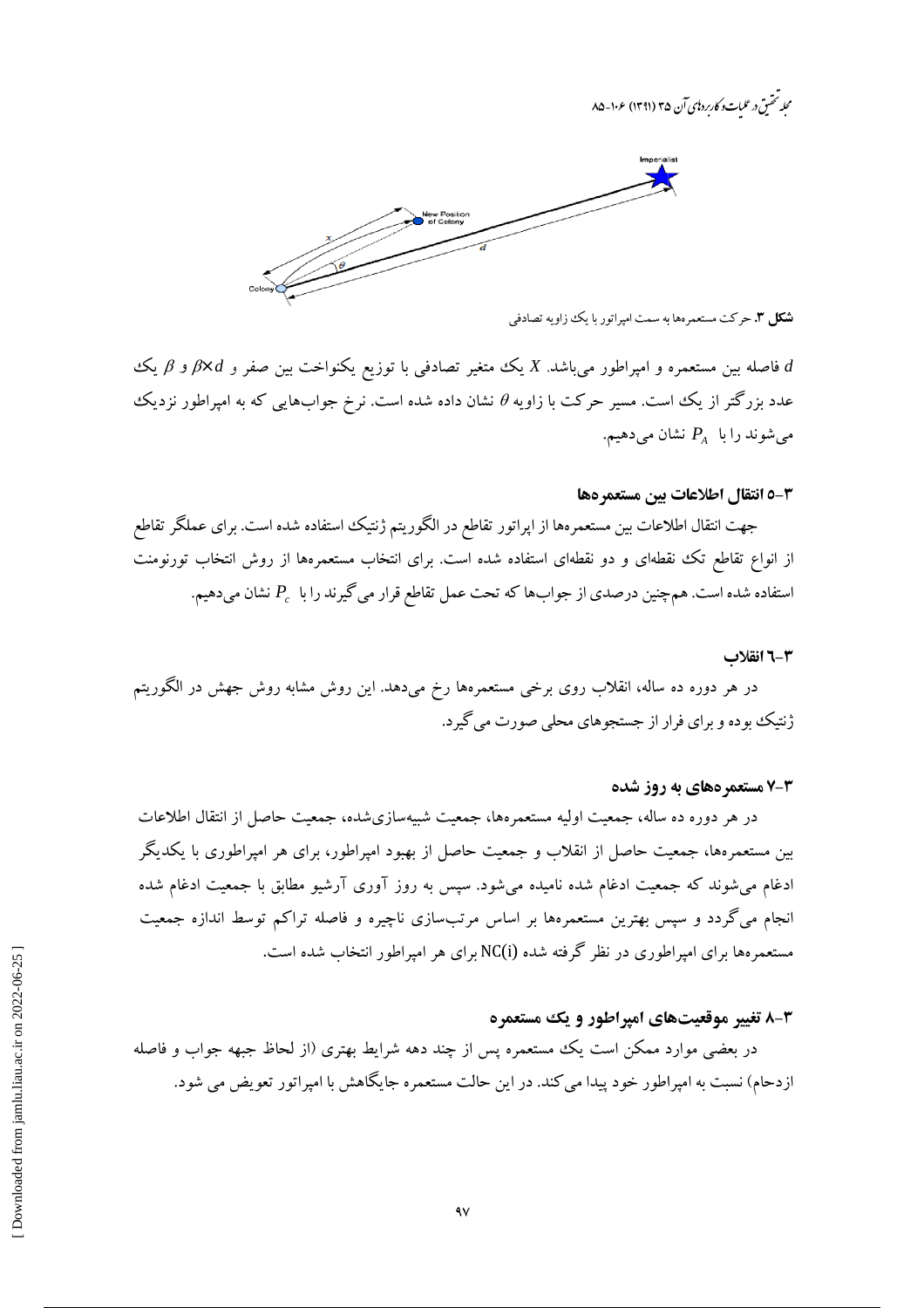محله تحقىق درعلىات وكارىردىي آن ۳۵ (۱۳۹۱) ۱۰۶–۸۵



**شکل ۳. ح**رکت مستعمر هها به سمت امیراتور با یک زاویه تصادفی

فاصله بین مستعمره و امپراطور میباشد. X یک متغیر تصادفی با توزیع یکنواخت بین صفر و  $\beta$  و  $\beta$  یک عدد بزرگتر از یک است. مسیر حرکت با زاویه  $\theta$  نشان داده شده است. نرخ جوابهایی که به امپراطور نزدیک میشوند را با  $P_{\scriptscriptstyle A}$  نشان میدهیم.

#### ٣-٥ انتقال اطلاعات بين مستعمر هها

جهت انتقال اطلاعات بین مستعمرهها از اپراتور تقاطع در الگوریتم ژنتیک استفاده شده است. برای عملگر تقاطع از انواع تقاطع تک نقطهای و دو نقطهای استفاده شده است. برای انتخاب مستعمرهها از روش انتخاب تورنومنت استفاده شده است. هم چنین درصدی از جوابها که تحت عمل تقاطع قرار می گیرند را با  $P_c$  نشان میدهیم.

#### ٣-٦ انقلاب

در هر دوره ده ساله، انقلاب روی برخی مستعمرهها رخ میدهد. این روش مشابه روش جهش در الگوریتم ژنتیک بوده و برای فرار از جستجوهای محلی صورت می گبرد.

#### ۲-۷ مستعمر ههای به روز شده

در هر دوره ده ساله، جمعیت اولیه مستعمرهها، جمعیت شبیهسازیشده، جمعیت حاصل از انتقال اطلاعات بین مستعمرهها، جمعیت حاصل از انقلاب و جمعیت حاصل از بهبود امپراطور، برای هر امپراطوری با یکدیگر ادغام میشوند که جمعیت ادغام شده نامیده میشود. سپس به روز آوری آرشیو مطابق با جمعیت ادغام شده انجام میگردد و سپس بهترین مستعمرهها بر اساس مرتبسازی ناچیره و فاصله تراکم توسط اندازه جمعیت مستعمرهها برای امیراطوری در نظر گرفته شده (NC(i برای هر امیراطور انتخاب شده است.

#### ۳-۸ تغییر موقعیتهای امپراطور و یک مستعمره

در بعضی موارد ممکن است یک مستعمره پس از چند دهه شرایط بهتری (از لحاظ جبهه جواب و فاصله ازدحام) نسبت به امیراطور خود پیدا می کند. در این حالت مستعمره جایگاهش با امیراتور تعویض می شود.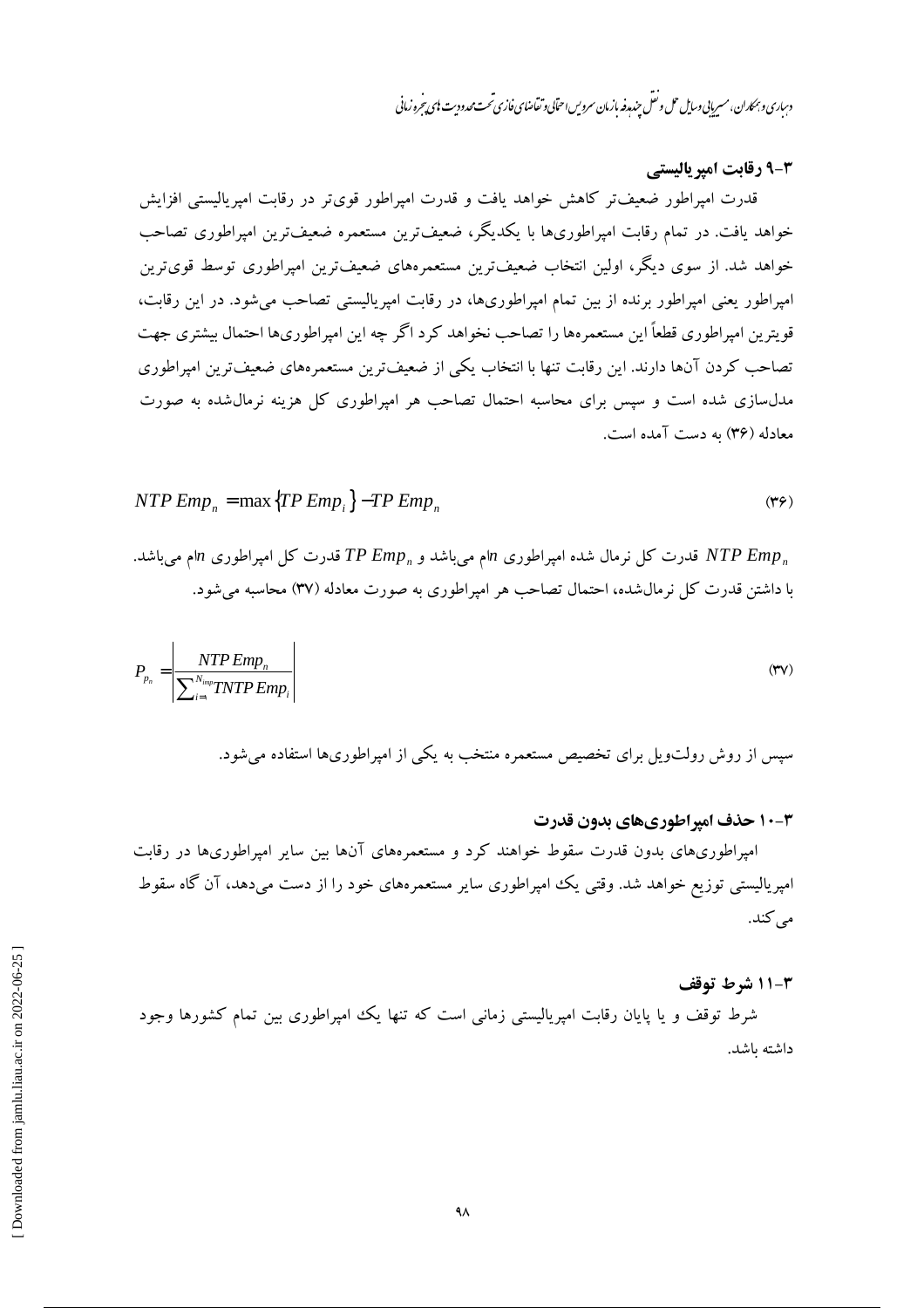دساری و بهماران، مسربانی وسایل حل و نقل حندرو نه ازمان سروس احتابی و تقاضای فازی تحت محدود ت بای تحرو زمانی

#### 9-3 رقابت امیر پالیستے

قدرت امپراطور ضعیفتر کاهش خواهد یافت و قدرت امپراطور قویتر در رقابت امپریالیستی افزایش خواهد یافت. در تمام رقابت امپراطوریها با یکدیگر، ضعیفترین مستعمره ضعیفترین امپراطوری تصاحب خواهد شد. از سوی دیگر، اولین انتخاب ضعیفترین مستعمرههای ضعیفترین امپراطوری توسط قویترین امپراطور یعنی امپراطور برنده از بین تمام امپراطوریها، در رقابت امپریالیستی تصاحب می شود. در این رقابت، قويترين اميراطوري قطعاً اين مستعمرهها را تصاحب نخواهد كرد اگر چه اين اميراطوريها احتمال بيشتري جهت تصاحب کردن آنها دارند. این رقابت تنها با انتخاب یکی از ضعیفترین مستعمرههای ضعیفترین امیراطوری مدلسازی شده است و سپس برای محاسبه احتمال تصاحب هر امپراطوری کل هزینه نرمال شده به صورت معادله (۳۶) به دست آمده است.

$$
NTP \, Emp_n = \max \{ TP \, Emp_i \} - TP \, Emp_n \tag{79}
$$

قدرت کل نرمال شده امیراطوری  $n$ ام می $\mu$ شد و  $TP\ Emp_n$  قدرت کل امیراطوری  $n$ ام می $NTP\ Emp_n$ با داشتن قدرت کل نرمال شده، احتمال تصاحب هر امیراطوری به صورت معادله (۳۷) محاسبه می شود.

$$
P_{p_n} = \left| \frac{NTP \, Emp_n}{\sum_{i=1}^{N_{imp}} TNTP \, Emp_i} \right| \tag{TV}
$$

سپس از روش رولتویل برای تخصیص مستعمره منتخب به یکی از امپراطوریها استفاده میشود.

#### **۳-۱۰ حذف امیر اطوریهای بدون قدرت**

امپراطوریهای بدون قدرت سقوط خواهند کرد و مستعمرههای آنها بین سایر امپراطوریها در رقابت امپریالیستی توزیع خواهد شد. وقتی یک امپراطوری سایر مستعمرههای خود را از دست میدهد، آن گاه سقوط مے کند.

#### 4-11 شرط توقف

شرط توقف و یا یایان رقابت امیریالیستی زمانی است که تنها یک امپراطوری بین تمام کشورها وجود داشته ىاشد.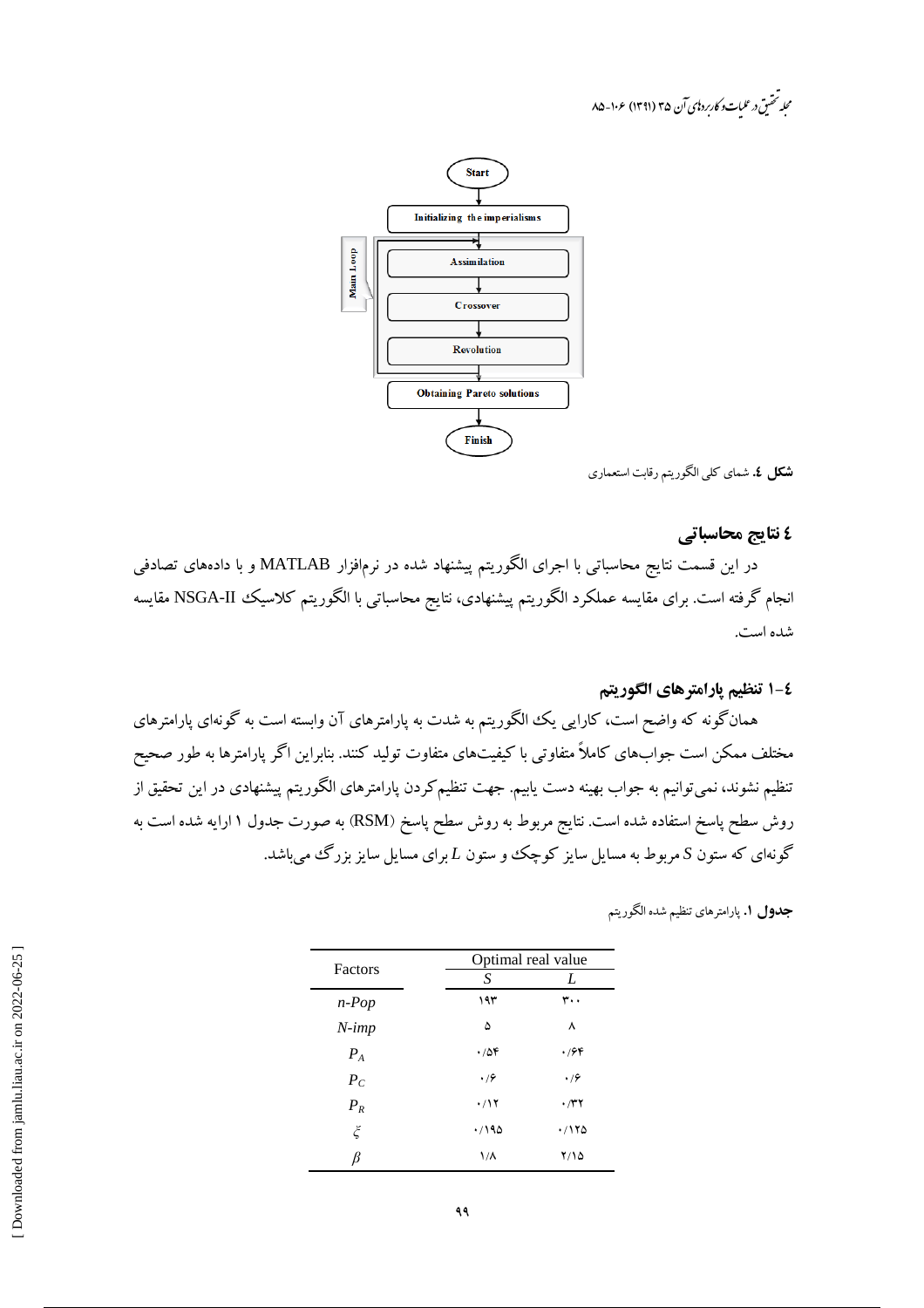مجله تحقیق در علیات و کاربرد نای آن ۳۵ (۱۳۹۱) ۱۰۶-۸۵



**شكل ٤.** شماي كلي الگوريتم رقابت استعماري

#### ٤ نتايج محاسباتي

در این قسمت نتایج محاسباتی با اجرای الگوریتم پیشنهاد شده در نرمٖافزار MATLAB و با دادههای تصادفی انجام گرفته است. برای مقایسه عملکرد الگوریتم پیشنهادی، نتایج محاسباتی با الگوریتم کلاسیک NSGA-II مقایسه شده است.

## ٤-١ تنظيم يارامترهاي الكوريتم

همانگونه که واضح است، کارایی یک الگوریتم به شدت به پارامترهای آن وابسته است به گونهای پارامترهای مختلف ممکن است جوابهای کاملاً متفاوتی با کیفیتهای متفاوت تولید کنند. بنابراین اگر پارامترها به طور صحیح تنظیم نشوند، نمیتوانیم به جواب بهینه دست یابیم. جهت تنظیمکردن پارامترهای الگوریتم پیشنهادی در این تحقیق از روش سطح پاسخ استفاده شده است. نتایج مربوط به روش سطح پاسخ (RSM) به صورت جدول ۱ ارایه شده است به گونهای که ستون S مربوط به مسایل سایز کوچک و ستون L برای مسایل سایز بزرگ میباشد.

| <b>جدول ۱.</b> پارامترهای تنظیم شده الگوریتم |  |
|----------------------------------------------|--|
|                                              |  |

| Factors            | Optimal real value  |             |  |  |  |
|--------------------|---------------------|-------------|--|--|--|
|                    | S                   | L           |  |  |  |
| $n$ -Pop           | ۱۹۳                 | ۳۰۰         |  |  |  |
| $N$ -imp           | ۵                   | ٨           |  |  |  |
| $P_{A}$            | .788                | $\cdot$ /64 |  |  |  |
| $P_C$              | .79                 | .79         |  |  |  |
| $P_R$              | ۰/۱۲                | $\cdot$ /۳۲ |  |  |  |
| $\boldsymbol{\xi}$ | .790                | ۱۲۵/۰       |  |  |  |
| ß                  | $\frac{1}{\Lambda}$ | ۲/۱۵        |  |  |  |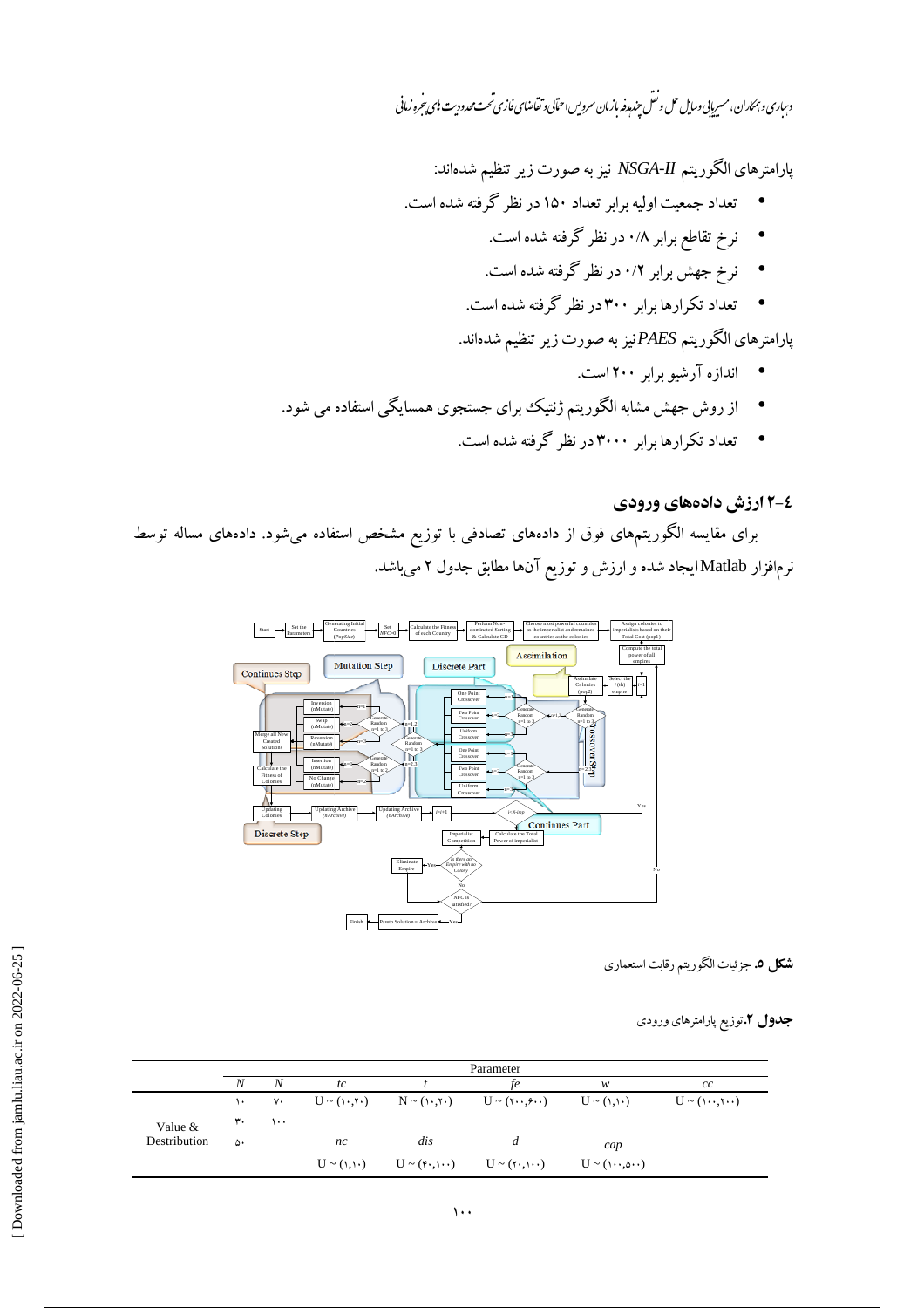دساری و بهماران، مسریایی وسایل حل و نقل جند رفه بازمان سرویس احتابی و تقاضای فازی تحت محدودیت ای پیجرو زمانی

پارامترهای الگوریتم NSGA-II نیز به صورت زیر تنظیم شدهاند:

- تعداد جمعیت اولیه برابر تعداد ۱۵۰ در نظر گرفته شده است.
	- نرخ تقاطع برابر ۰/۸ در نظر گرفته شده است.
	- نرخ جهش برابر ۰/۲ در نظر گرفته شده است.
	- تعداد تکرارها برابر ۳۰۰در نظر گرفته شده است.

پارامترهای الگوریتم PAESنیز به صورت زیر تنظیم شدهاند.

- اندازه آرشبو برابر ۲۰۰ است.
- از روش جهش مشابه الگوریتم ژنتیک برای جستجوی همسایگی استفاده می شود.
	- تعداد تکرارها برابر ۳۰۰۰در نظر گرفته شده است.

# ٤-٢ ارزش دادههای ورودی

برای مقایسه الگوریتمهای فوق از دادههای تصادفی با توزیع مشخص استفاده میشود. دادههای مساله توسط نرمافزار Matlabایجاد شده و ارزش و توزیع آنها مطابق جدول ۲ میباشد.



**شکل 0.** جزئیات الگوریتم رقابت استعماری

### جدول ۲.توزیع پارامترهای ورودی

|              | Parameter     |           |    |                                                                      |  |                            |                           |  |  |
|--------------|---------------|-----------|----|----------------------------------------------------------------------|--|----------------------------|---------------------------|--|--|
|              | N             | N         | tc |                                                                      |  | w                          | cc                        |  |  |
|              | $\mathcal{L}$ | $V \cdot$ |    | $U \sim (1, 5)$ $N \sim (1, 5)$ $U \sim (5, 5)$                      |  | $U \sim (1, 1)$            | $U \sim (\cdots, \cdots)$ |  |  |
| Value &      | ٣٠            | ۱۰۰       |    |                                                                      |  |                            |                           |  |  |
| Destribution | ۵۰            |           | nc | dis                                                                  |  | cap                        |                           |  |  |
|              |               |           |    | $U \sim (1,1)$ $U \sim (f \cdot 1) \cdot U \sim (f \cdot 1) \cdot U$ |  | $U \sim (1 \cdots \omega)$ |                           |  |  |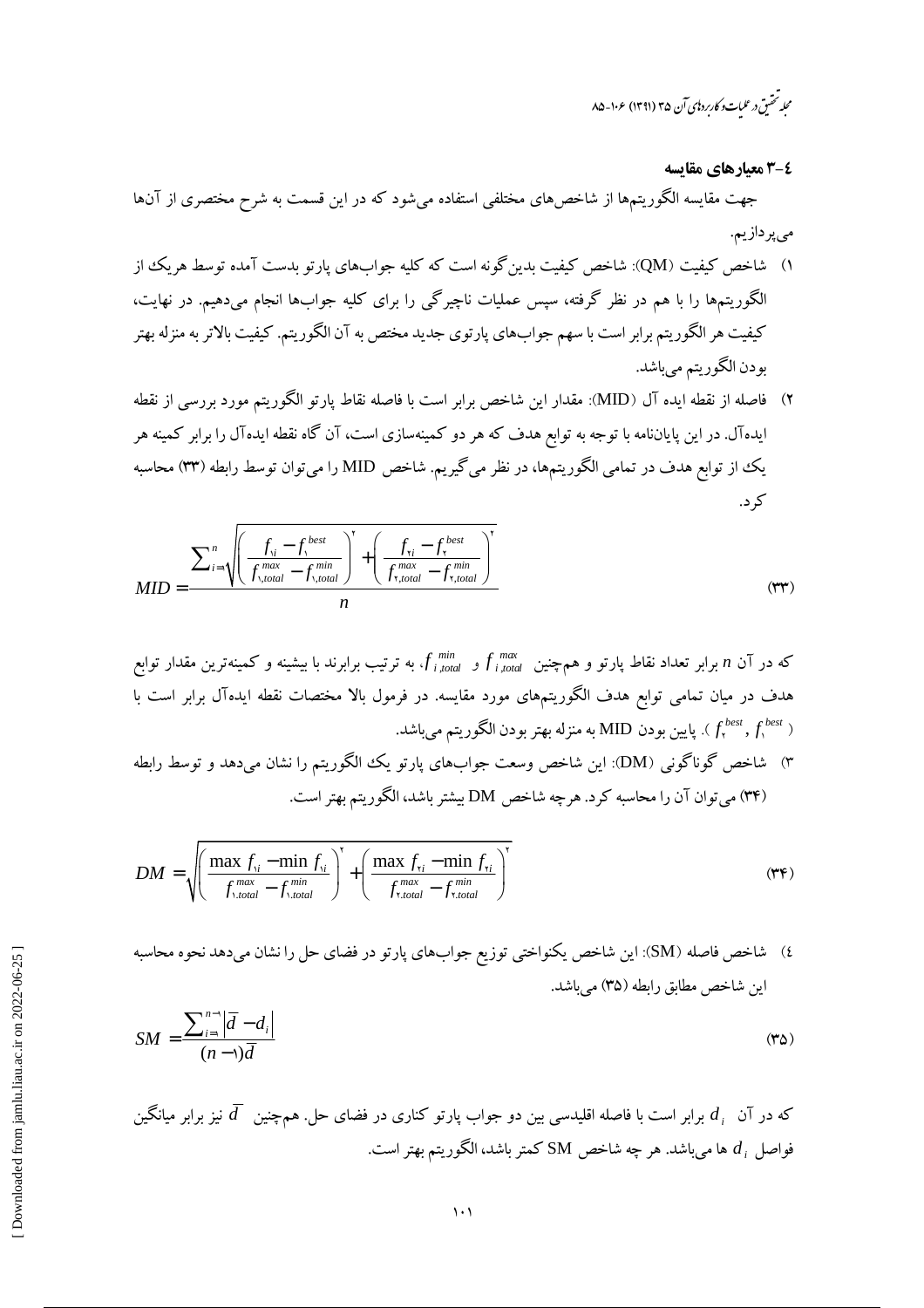محله تحقیق در علیات و کاربرد ای آن ۳۵ (۱۳۹۱) ۱۰۶-۸۵

٤-٣ معيارهاي مقايسه

جهت مقایسه الگوریتمها از شاخصهای مختلفی استفاده میشود که در این قسمت به شرح مختصری از آنها مىپردازيم.

- ۱) شاخص کیفیت (QM): شاخص کیفیت بدین گونه است که کلیه جوابهای پارتو بدست آمده توسط هریک از الگوریتمها را با هم در نظر گرفته، سپس عملیات ناچیرگی را برای کلیه جوابها انجام میٖدهیم. در نهایت، کیفیت هر الگوریتم برابر است با سهم جوابهای پارتوی جدید مختص به آن الگوریتم. کیفیت بالاتر به منزله بهتر بودن الگوريتم مي باشد.
- ۲) فاصله از نقطه ایده آل (MID): مقدار این شاخص برابر است با فاصله نقاط پارتو الگوریتم مورد بررسی از نقطه ایدهآل. در این پایاننامه با توجه به توابع هدف که هر دو کمینهسازی است، آن گاه نقطه ایدهآل را برابر کمینه هر یک از توابع هدف در تمامی الگوریتمها، در نظر میگیریم. شاخص MID را میتوان توسط رابطه (۳۳) محاسبه کړ د.

$$
MID = \frac{\sum_{i=1}^{n} \sqrt{\left(\frac{f_{\text{v}} - f_{\text{v}}^{best}}{f_{\text{v},\text{total}}^{max} - f_{\text{v},\text{total}}^{min}}\right)^{r} + \left(\frac{f_{\text{v}} - f_{\text{v}}^{best}}{f_{\text{v},\text{total}}^{max} - f_{\text{v},\text{total}}^{min}}\right)^{r}}}{n}
$$
(rr)

۳) شاخص گوناگونی (DM): این شاخص وسعت جوابهای پارتو یک الگوریتم را نشان میدهد و توسط رابطه (۳۴) میتوان آن را محاسبه کرد. هرچه شاخص DM بیشتر باشد، الگوریتم بهتر است.

$$
DM = \sqrt{\left(\frac{\max f_{\text{v}} - \min f_{\text{v}}}{f_{\text{v},\text{total}}^{\max} - f_{\text{v},\text{total}}^{\min}}\right)^{v} + \left(\frac{\max f_{\text{v}} - \min f_{\text{v}}}{f_{\text{v},\text{total}}^{\max} - f_{\text{v},\text{total}}^{\min}}\right)^{v}}
$$
(YF)

٤) شاخص فاصله (SM): این شاخص یکنواختی توزیع جوابهای پارتو در فضای حل را نشان میدهد نحوه محاسبه اين شاخص مطابق رابطه (٣۵) مي باشد.

$$
SM = \frac{\sum_{i=1}^{n-1} |\overline{d} - d_i|}{(n-1)\overline{d}}
$$
 (72)

که در آن  $d_i$  برابر است با فاصله اقلیدسی بین دو جواب پارتو کناری در فضای حل. همچنین  $\bar{d}$  نیز برابر میانگین فواصل  $d_i$  ها میباشد. هر چه شاخص SM کمتر باشد، الگوریتم بهتر است.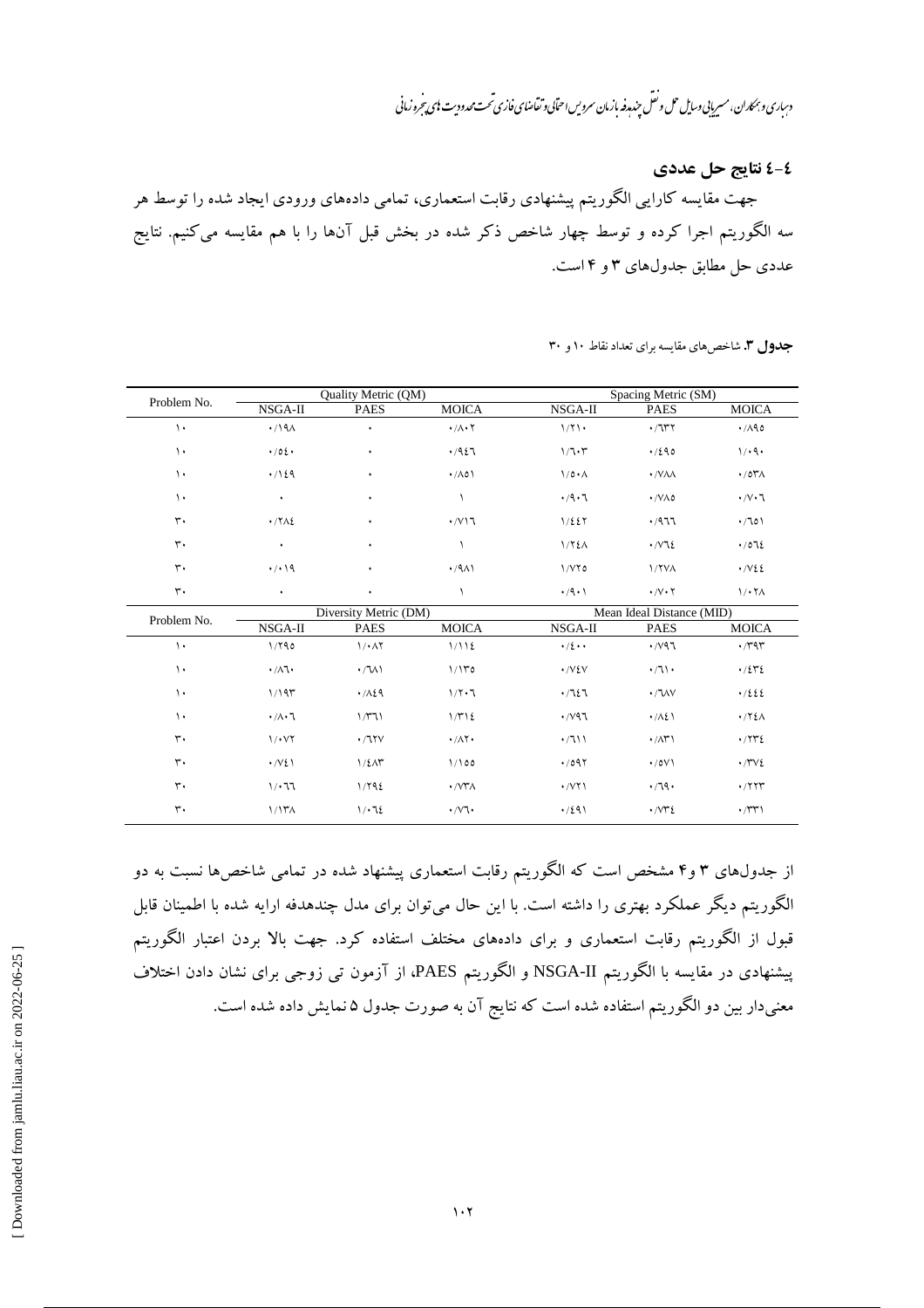دساری و بهحاران، مسریایی وسایل حمل و نعل میندمدفه بازمان سرویس احتابی و تقاضای فازی تحت محدودیت نای پیروزمانی b

**1-٤ نتايج حل عددي** 

جهت مقایسه کارایی الگوریتم پیشنهادی رقابت استعماری، تمامی دادههای ورودی ایجاد شده را توسط هر سه الگوریتم اجرا کرده و توسط چهار شاخص ذکر شده در بخش قبل آنها را با هم مقایسه میکنیم. نتایج عددي حل مطابق جدولهاي ٣ و ۴ است.

|  |  | جدول ۳. شاخص های مقایسه برای تعداد نقاط ۱۰ و ۳۰ |  |  |
|--|--|-------------------------------------------------|--|--|
|  |  |                                                 |  |  |

| Problem No.       |                                | Quality Metric (QM)      |                                  |                           | Spacing Metric (SM)           |                                      |  |  |
|-------------------|--------------------------------|--------------------------|----------------------------------|---------------------------|-------------------------------|--------------------------------------|--|--|
|                   | NSGA-II                        | <b>PAES</b>              | <b>MOICA</b>                     | NSGA-II                   | <b>PAES</b>                   | <b>MOICA</b>                         |  |  |
| $\mathcal{L}$     | $\cdot$ /191                   | ٠                        | $\cdot/\Lambda\cdot\Upsilon$     | 1/7                       | $\cdot$ /lry                  | $\cdot$ /190                         |  |  |
| $\mathcal{L}$     | $\cdot$ /02 $\cdot$            | ٠                        | .427                             | 1/7.7                     | .7290                         | 1/44                                 |  |  |
| $\mathcal{L}$     | $\cdot$ /129                   | ٠                        | $\cdot$ / $\wedge$ 0)            | $1/\rho \cdot \Lambda$    | · /VAA                        | $\cdot$ /0۳ $\Lambda$                |  |  |
| $\mathcal{L}$     | ٠                              | ٠                        | $\sqrt{2}$                       | .4.7                      | $\cdot$ /VA0                  | $\cdot/\vee\cdot\uparrow$            |  |  |
| $\mathsf{r}\cdot$ | $\cdot$ / $\gamma$             | ٠                        | $\cdot$ / $\vee$ 1               | 1/227                     | .7977                         | $\cdot$ /101                         |  |  |
| $\mathsf{r}\cdot$ | $\bullet$                      | ٠                        | $\sqrt{2}$                       | 1/72A                     | $\cdot$ / $\vee$ $\cdot$ /    | .7072                                |  |  |
| $\mathsf{r}$ .    | .7.19<br>٠                     |                          | $\cdot$ /9 $\wedge$              | 1/VY0                     | <b>I/YVA</b>                  | $\cdot$ / $\vee$ 22                  |  |  |
| $\mathbf{r}$ .    | ٠                              | ٠                        | ١                                | $\cdot$ /9 $\cdot$ )      | $\cdot/\vee\cdot\curlyvee$    | 1/17                                 |  |  |
| Problem No.       |                                | Diversity Metric (DM)    |                                  | Mean Ideal Distance (MID) |                               |                                      |  |  |
|                   | NSGA-II                        | <b>PAES</b>              | <b>MOICA</b>                     | NSGA-II                   | <b>PAES</b>                   | <b>MOICA</b>                         |  |  |
| $\lambda$         | 1/790                          | 1/4                      | 1/112                            | $\cdot/2\cdot\cdot$       | $\cdot$ / $\vee$ 97           | $\cdot$ / $\uparrow$ 9 $\uparrow$    |  |  |
| $\mathcal{L}$     | $\cdot/\lambda$ l $\cdot$      | $\cdot / \sqrt{}$        | 1/10                             | $\cdot$ /V $\epsilon$ V   | $\cdot / 7$                   | .7242                                |  |  |
| $\mathcal{L}$     | 1/195                          | .7129                    | 1/7.7                            | .7127                     | $\cdot$ / $\sqrt{V}$          | .7222                                |  |  |
| $\mathcal{L}$     | $\cdot/\wedge\cdot\mathcal{A}$ | 1/T11                    | 1/T12                            | $\cdot$ / $\vee$ 97       | $\cdot/\lambda\Omega$         | $\cdot$ /٢٤Λ                         |  |  |
| $\mathsf{r}\cdot$ | 1/1                            | $\cdot$ /11V             | $\cdot/\Lambda$ $\cdot$          | $\cdot$ /711              | $\cdot$ / $\wedge$ $\wedge$   | $\cdot$ / $\gamma\gamma\epsilon$     |  |  |
| $\mathsf{r}\cdot$ | $\cdot$ / $\vee$ { $\wedge$    | $1/\xi \Lambda \Upsilon$ | 1/100                            | $\cdot$ /097              | $\cdot$ /0 $V$                | $\cdot$ / $\vee$ $\vee$ $\vee$       |  |  |
| $\mathsf{r}\cdot$ | 1/17                           | 1/792                    | $\cdot$ / $\vee\mathsf{r}\wedge$ | $\cdot$ /VY \             | .79.                          | $\cdot$ /۲۲۳                         |  |  |
| $\mathsf{r}\cdot$ | 1/17 <sub>A</sub>              | $1/\cdot 72$             | $\cdot$ / $\vee$ $\cdot$         | .7291                     | $\cdot$ / $\vee\mathscr{r}$ { | $\cdot$ / $\uparrow\uparrow\uparrow$ |  |  |

از جدولهای ۳ و۴ مشخص است که الگوریتم رقابت استعماری پیشنهاد شده در تمامی شاخصها نسبت به دو الگوریتم دیگر عملکرد بهتری را داشته است. با این حال میتوان برای مدل چندهدفه ارایه شده با اطمینان قابل قبول از الگوریتم رقابت استعماری و برای دادههای مختلف استفاده کرد. جهت بالا بردن اعتبار الگوریتم پیشنهادی در مقایسه با الگوریتم NSGA-II و الگوریتم PAES، از آزمون تی زوجی برای نشان دادن اختلاف معنیدار بین دو الگوریتم استفاده شده است که نتایج آن به صورت جدول ۵ نمایش داده شده است.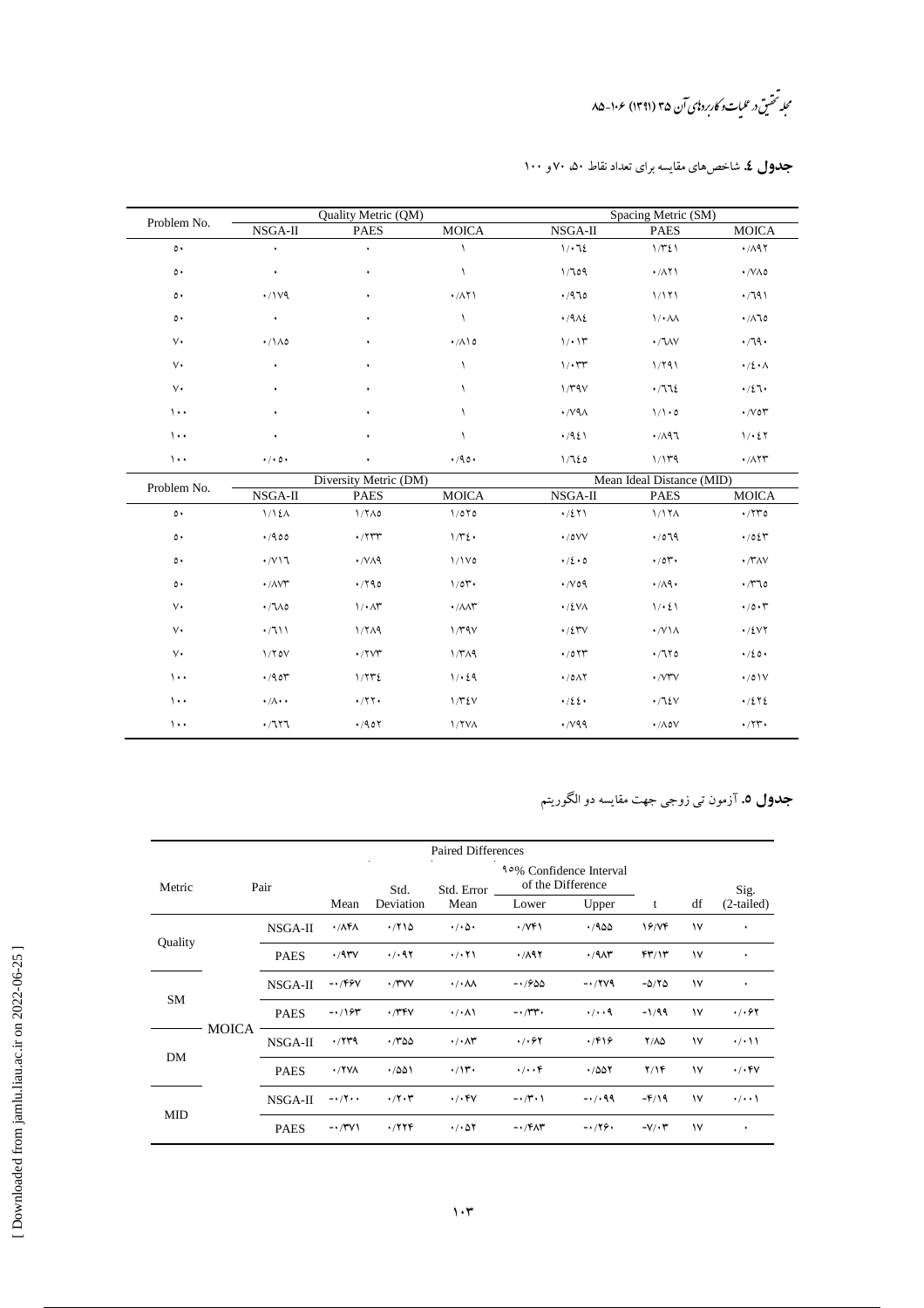مجله تحقیق در علیات و کاربرد یای آن ۳۵ (۱۳۹۱) ۱۰۶-۸۵

| Problem No.   |                                      | Quality Metric (QM)      |                                    |                               | Spacing Metric (SM)       |                                    |
|---------------|--------------------------------------|--------------------------|------------------------------------|-------------------------------|---------------------------|------------------------------------|
|               | NSGA-II                              | <b>PAES</b>              | <b>MOICA</b>                       | NSGA-II                       | <b>PAES</b>               | <b>MOICA</b>                       |
| $\circ \cdot$ | ۰                                    |                          |                                    | 1/12                          | 1/T21                     | $\cdot$ /197                       |
| $\circ \cdot$ | $\bullet$                            | ۰                        | ١                                  | 1/109                         | $\cdot$ / $\wedge$ ۲۱     | $\cdot$ /VA0                       |
| ٥٠            | $\cdot$ /1 $\vee$ 9                  | ٠                        | $\cdot$ / $\wedge$ $\wedge$        | .470                          | 1/171                     | .791                               |
| $\circ \cdot$ | $\bullet$                            | ٠                        | ١                                  | $\cdot$ /912                  | $1/\cdot \Lambda\Lambda$  | $\cdot/\Lambda$ lo                 |
| $\vee$        | $\cdot/\lambda$ 0                    | ٠                        | $\cdot/\lambda\lambda$             | 1/11                          | $\cdot$ / $\sqrt{V}$      | $\cdot$ /19 $\cdot$                |
| $\vee$        | $\bullet$                            | ٠                        | ١                                  | $1/\cdot 77$                  | 1/791                     | $\cdot/2 \cdot \wedge$             |
| $\vee$        | $\bullet$                            | ٠                        | $\lambda$                          | 1/T9V                         | .772                      | $\cdot/2$ \ $\cdot$                |
| $\cdots$      | ٠                                    | ٠                        |                                    | $\cdot$ / $\vee$ 9 $\wedge$   | $1/1 \cdot 0$             | $\cdot$ / $\vee$ or                |
| $\cdots$      | ٠                                    | ٠                        |                                    | .4951                         | .71                       | 1/25                               |
| $\cdots$      | $\cdot$ / $\cdot$ 0 $\cdot$          | ٠                        | $\cdot$ /90 $\cdot$                | 1/720                         | 1/149                     | $\cdot$ / $\wedge$ $\wedge$ $\vee$ |
|               |                                      | Diversity Metric (DM)    |                                    |                               | Mean Ideal Distance (MID) |                                    |
| Problem No.   | NSGA-II                              | <b>PAES</b>              | <b>MOICA</b>                       | NSGA-II                       | <b>PAES</b>               | <b>MOICA</b>                       |
| $\circ \cdot$ | 1/12A                                | $1/7\Lambda$ 0           | 1/070                              | $\cdot/271$                   | 1/174                     | $\cdot$ /۲۳٥                       |
| ٥٠            | .400                                 | $\cdot$ / $\tau\tau\tau$ | $1/\tau_{\epsilon}$ .              | $\cdot$ /0VV                  | .7079                     | $\cdot$ /0 $\zeta$ $\tau$          |
| ٥٠            | $\cdot$ / $\vee$                     | $\cdot$ /VA9             | $1/1V$ 0                           | $\cdot / 2 \cdot 0$           | $\cdot$ /0۲.              | $\cdot$ / $\gamma\gamma\gamma$     |
| ٥٠            | $\cdot$ / $\wedge$ $\vee$ $\sim$     | $\cdot$ /۲۹٥             | 1/01                               | $\cdot$ / $\vee$ 09           | $\cdot/\lambda$ q.        | $\cdot$ / $\sqrt{20}$              |
| $\vee$        | $\cdot/\sqrt{0}$                     | $1/\cdot \Delta r$       | $\cdot$ / $\wedge \wedge \Upsilon$ | $\cdot$ /٤٧٨                  | 1/21                      | $\cdot$ /0 $\cdot$ $\cdot$         |
| $V\cdot$      | $\cdot$ /111                         | 1/TA9                    | 1/4V                               | $\cdot$ /2 $\mathsf{rv}$      | $\cdot$ /V \ $\wedge$     | $\cdot$ /٤٧٢                       |
| $V\cdot$      | 1/70V                                | $\cdot$ /۲۷۳             | 1/T <sub>1</sub>                   | $\cdot$ /0 $\Upsilon\Upsilon$ | $\cdot$ /1۲0              | $\cdot$ /20 $\cdot$                |
| $\cdots$      | $\cdot$ /90 $\mathcal{V}$            | 1/772                    | 1/24                               | $\cdot$ /0 $\wedge$ Y         | $\cdot$ / $V^*V$          | $\cdot$ /0 \ V                     |
| $\cdots$      | $\cdot/\Lambda\cdot\cdot$            | $\cdot$ /۲۲ $\cdot$      | $1/\Upsilon \ell V$                | .722.                         | .715V                     | $\cdot$ /2 $\cdot$ 2               |
| $\cdots$      | $\cdot$ / $\uparrow\uparrow\uparrow$ | $\cdot$ /907             | <b>\/YVA</b>                       | $\cdot$ /v99                  | $\cdot/\wedge \circ \vee$ | $\cdot$ /۲۳ $\cdot$                |

# **جدول ٤.** شاخصهای مقایسه برای تعداد نقاط ۵۰ ۷۰و ۱۰۰

# **جدول ٥.** آزمون تي زوجي جهت مقايسه دو الگوريتم

|            |              |               |                                 | <b>Paired Differences</b>       |                                   |                      |                     |                                                     |                    |                      |  |      |
|------------|--------------|---------------|---------------------------------|---------------------------------|-----------------------------------|----------------------|---------------------|-----------------------------------------------------|--------------------|----------------------|--|------|
| Metric     |              | Pair          |                                 |                                 |                                   | Std.                 | Std. Error          | <b>10% Confidence Interval</b><br>of the Difference |                    |                      |  | Sig. |
|            |              |               | Mean                            | Deviation                       | Mean                              | Lower                | Upper               | t                                                   | df                 | $(2-tailed)$         |  |      |
|            | Quality      | NSGA-II       | $\cdot$ / $\Lambda$ ۴ $\Lambda$ | .710                            | $\cdot$ / $\cdot$ $\circ$ $\cdot$ | $\cdot$ /VF)         | .7900               | 19/VP                                               | $\mathsf{v}$       | ٠                    |  |      |
|            |              | <b>PAES</b>   | $\cdot$ /9۳ $\vee$              | $\cdot$ / $\cdot$ 97            | $\cdot$ / $\cdot$ $\uparrow$ \    | .781                 | $\cdot$ /۹۸۳        | FT/17                                               | $\mathsf{v}$       | ٠                    |  |      |
|            | <b>SM</b>    | $NSGA-II$     | $-1/99V$                        | $\cdot$ /۳۷۷                    | $\cdot/\cdot$ $\wedge\wedge$      | $-1900$              | $-1749$             | $-0/70$                                             | $\mathsf{v}$       | ٠                    |  |      |
|            |              | <b>PAES</b>   | $-1195$                         | $\cdot$ /۳۴۷                    | $\cdot/\cdot$ A)                  | $-1/\tau$ .          | $\cdot$ / $\cdot$ 9 | $-1/99$                                             | $\mathsf{v}$       | $\cdot$ / $\cdot$ 67 |  |      |
|            | <b>MOICA</b> | NSGA-II       | .7779                           | .700                            | $\cdot/\cdot \wedge r$            | .7.97                | .799                | $Y/\Lambda\Delta$                                   | ١٧                 | $\cdot$ / $\cdot$    |  |      |
| DM         |              | <b>PAES</b>   | $\cdot$ /۲۷۸                    | .7001                           | $\cdot/\gamma$                    | $\cdot/\cdot\cdot f$ | .7001               | Y/Y                                                 | $\mathsf{v}$       | $\cdot/\cdot$ ۴۷     |  |      |
| <b>MID</b> | $NSGA-II$    | $-1/\Upsilon$ | $\cdot$ /۲ $\cdot$ ۳            | $\cdot$ / $\cdot$ $\mathsf{FV}$ | $-1/\mathbf{r}\cdot 1$            | $-1/199$             | $-F/19$             | ١٧                                                  | $\cdot/\cdot\cdot$ |                      |  |      |
|            |              | <b>PAES</b>   | $-1/TV$                         | .7779                           | $\cdot/\cdot\Delta Y$             | $-1$ $f\Lambda$ ۳    | $-179.$             | $-V/\cdot T$                                        | $\mathsf{v}$       | ٠                    |  |      |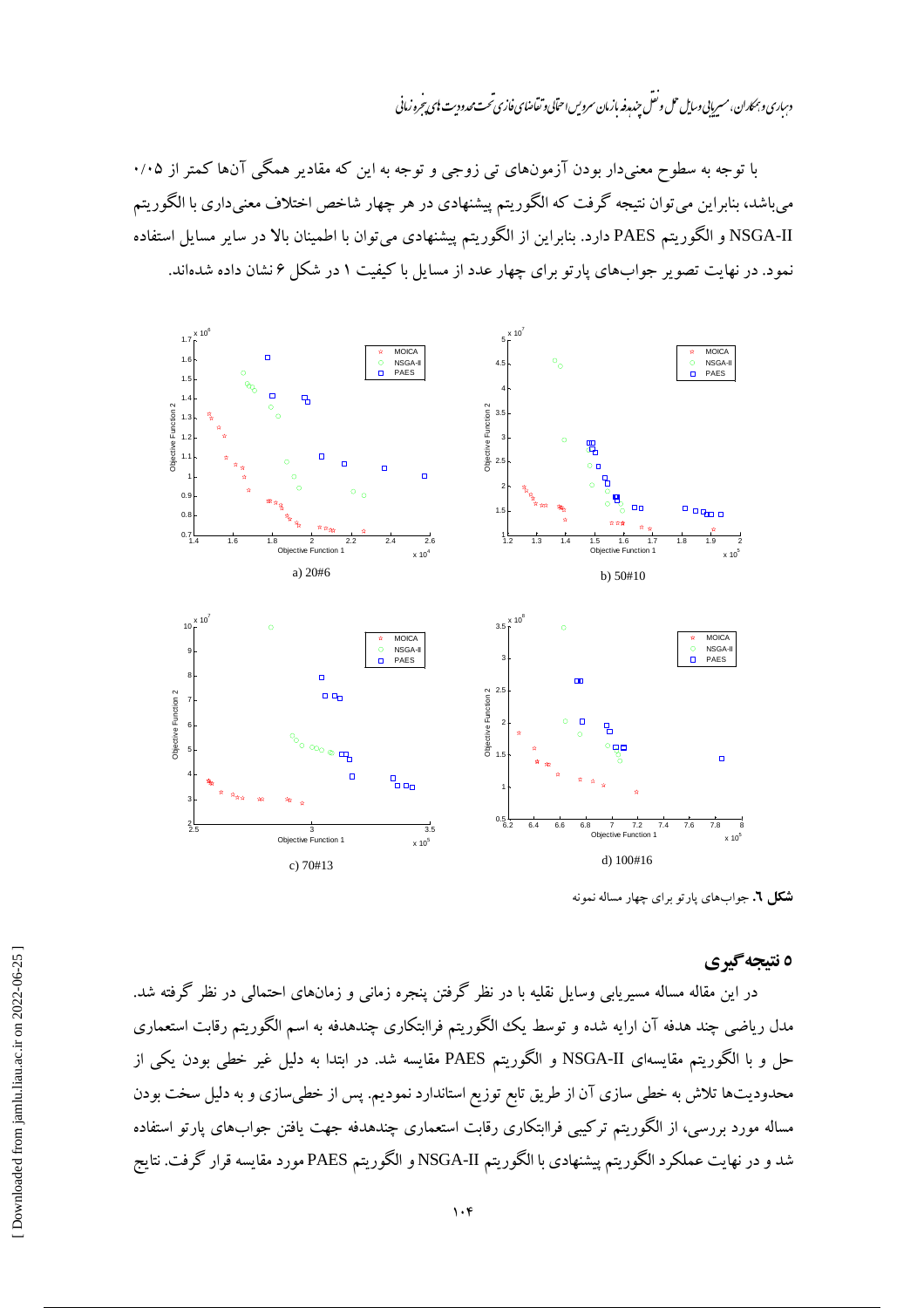دساری و بهمکاران، مسریایی *وسا*یل حمل و نقل جند رفه بازمان سرویس احتابی و تقاضای فازی تحت محدودیت **پ**ای تحرو زمانی

با توجه به سطوح معنیدار بودن آزمونهای تی زوجی و توجه به این که مقادیر همگی آنها کمتر از ۰/۰۵ میباشد، بنابراین می توان نتیجه گرفت که الگوریتم پیشنهادی در هر چهار شاخص اختلاف معنیداری با الگوریتم NSGA-II و الگوريتم PAES دارد. بنابراين از الگوريتم پيشنهادي مي توان با اطمينان بالا در ساير مسايل استفاده نمود. در نهایت تصویر جوابهای پارتو برای چهار عدد از مسایل با کیفیت ۱ در شکل ۶ نشان داده شدهاند.



**شکل ٦.** جوابهای یارتو برای چهار مساله نمونه

# ه نتىجە گېرى

در این مقاله مساله مسیریابی وسایل نقلیه با در نظر گرفتن پنجره زمانی و زمانهای احتمالی در نظر گرفته شد. مدل ریاضی چند هدفه آن ارایه شده و توسط یک الگوریتم فراابتکاری چندهدفه به اسم الگوریتم رقابت استعماری حل و با الگوریتم مقایسهای NSGA-II و الگوریتم PAES مقایسه شد. در ابتدا به دلیل غیر خطی بودن یکی از محدودیتها تلاش به خطی سازی آن از طریق تابع توزیع استاندارد نمودیم. پس از خطیسازی و به دلیل سخت بودن مساله مورد بررسی، از الگوریتم ترکیبی فراابتکاری رقابت استعماری چندهدفه جهت یافتن جوابهای پارتو استفاده شد و در نهایت عملکرد الگوریتم پیشنهادی با الگوریتم NSGA-II و الگوریتم PAES مورد مقایسه قرار گرفت. نتایج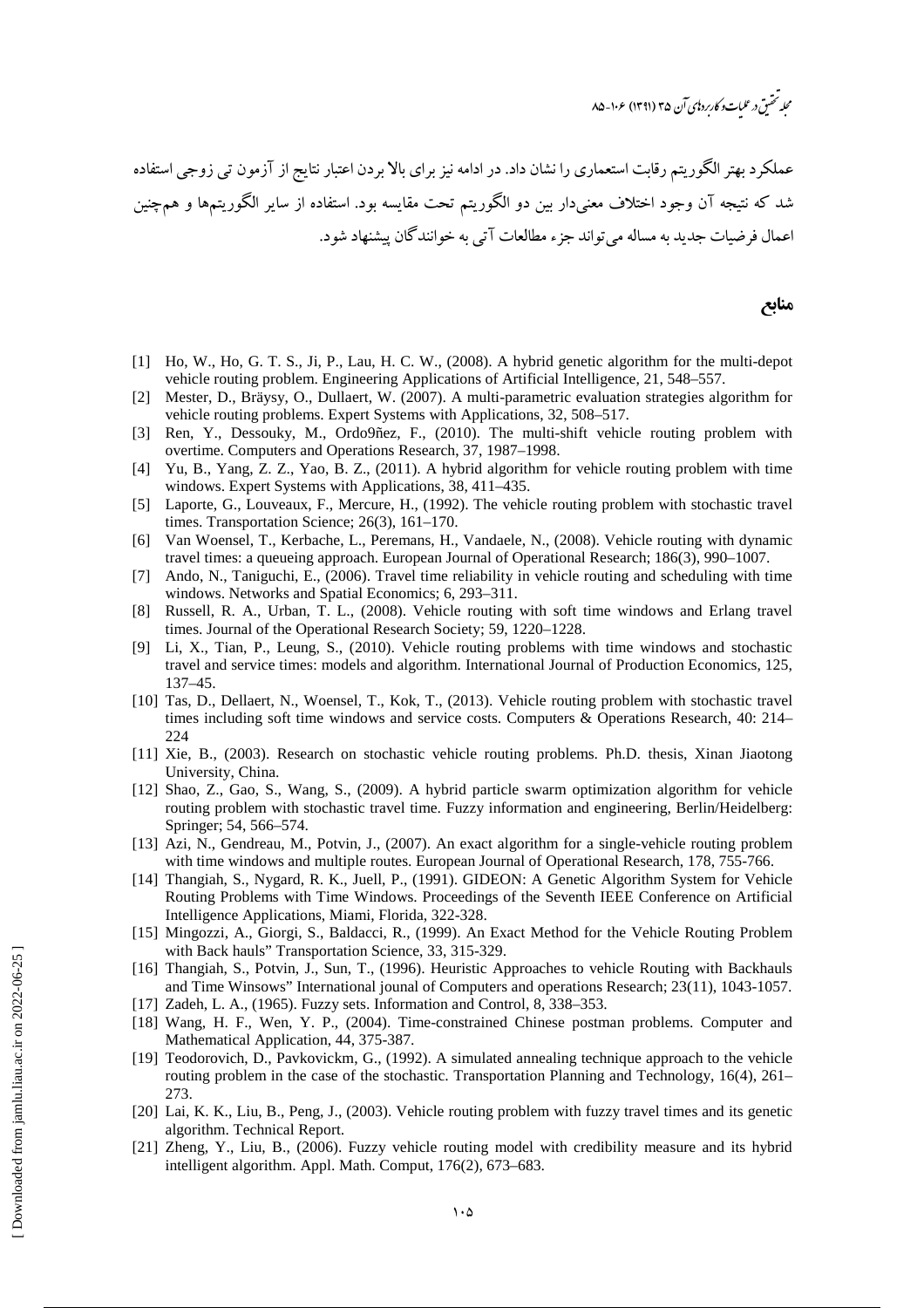مجله تحقيق در عليات وكاربرد إي آن ٣۵ (١٣٩١) ۱۰۶-۸۵

عملکرد بهتر الگوریتم رقابت استعماری را نشان داد. در ادامه نیز برای بالا بردن اعتبار نتایج از آزمون ت<sub>ی</sub> زوجی استفاده شد که نتیجه آن وجود اختلاف معنیدار بین دو الگوریتم تحت مقایسه بود. استفاده از سایر الگوریتمها و همچنین .<br>اعمال فرضيات جديد به مساله مي تواند جزء مطالعات آتي به خوانندگان پيشنهاد شود.

#### منابع

- [1] Ho, W., Ho, G. T. S., Ji, P., Lau, H. C. W., (2008). A hybrid genetic algorithm for the multi-depot vehicle routing problem. Engineering Applications of Artificial Intelligence, 21, 548–557.
- [2] Mester, D., Bräysy, O., Dullaert, W. (2007). A multi-parametric evaluation strategies algorithm for vehicle routing problems. Expert Systems with Applications, 32, 508–517.
- [3] Ren, Y., Dessouky, M., Ordo9ñez, F., (2010). The multi-shift vehicle routing problem with overtime. Computers and Operations Research, 37, 1987–1998.
- [4] Yu, B., Yang, Z. Z., Yao, B. Z., (2011). A hybrid algorithm for vehicle routing problem with time windows. Expert Systems with Applications, 38, 411–435.
- [5] Laporte, G., Louveaux, F., Mercure, H., (1992). The vehicle routing problem with stochastic travel times. Transportation Science; 26(3), 161–170.
- [6] Van Woensel, T., Kerbache, L., Peremans, H., Vandaele, N., (2008). Vehicle routing with dynamic travel times: a queueing approach. European Journal of Operational Research; 186(3), 990–1007.
- [7] Ando, N., Taniguchi, E., (2006). Travel time reliability in vehicle routing and scheduling with time windows. Networks and Spatial Economics; 6, 293–311.
- [8] Russell, R. A., Urban, T. L., (2008). Vehicle routing with soft time windows and Erlang travel times. Journal of the Operational Research Society; 59, 1220–1228.
- [9] Li, X., Tian, P., Leung, S., (2010). Vehicle routing problems with time windows and stochastic travel and service times: models and algorithm. International Journal of Production Economics, 125, 137–45.
- [10] Tas, D., Dellaert, N., Woensel, T., Kok, T., (2013). Vehicle routing problem with stochastic travel times including soft time windows and service costs. Computers & Operations Research, 40: 214– 224
- [11] Xie, B., (2003). Research on stochastic vehicle routing problems. Ph.D. thesis, Xinan Jiaotong University, China.
- [12] Shao, Z., Gao, S., Wang, S., (2009). A hybrid particle swarm optimization algorithm for vehicle routing problem with stochastic travel time. Fuzzy information and engineering, Berlin/Heidelberg: Springer; 54, 566–574.
- [13] Azi, N., Gendreau, M., Potvin, J., (2007). An exact algorithm for a single-vehicle routing problem with time windows and multiple routes. European Journal of Operational Research, 178, 755-766.
- [14] Thangiah, S., Nygard, R. K., Juell, P., (1991). GIDEON: A Genetic Algorithm System for Vehicle Routing Problems with Time Windows. Proceedings of the Seventh IEEE Conference on Artificial Intelligence Applications, Miami, Florida, 322-328.
- [15] Mingozzi, A., Giorgi, S., Baldacci, R., (1999). An Exact Method for the Vehicle Routing Problem with Back hauls" Transportation Science, 33, 315-329.
- [16] Thangiah, S., Potvin, J., Sun, T., (1996). Heuristic Approaches to vehicle Routing with Backhauls and Time Winsows" International jounal of Computers and operations Research; 23(11), 1043-1057.
- [17] Zadeh, L. A., (1965). Fuzzy sets. Information and Control, 8, 338–353.
- [18] Wang, H. F., Wen, Y. P., (2004). Time-constrained Chinese postman problems. Computer and Mathematical Application, 44, 375-387.
- [19] Teodorovich, D., Pavkovickm, G., (1992). A simulated annealing technique approach to the vehicle routing problem in the case of the stochastic. Transportation Planning and Technology, 16(4), 261– 273.
- [20] Lai, K. K., Liu, B., Peng, J., (2003). Vehicle routing problem with fuzzy travel times and its genetic algorithm. Technical Report.
- [21] Zheng, Y., Liu, B., (2006). Fuzzy vehicle routing model with credibility measure and its hybrid intelligent algorithm. Appl. Math. Comput, 176(2), 673–683.